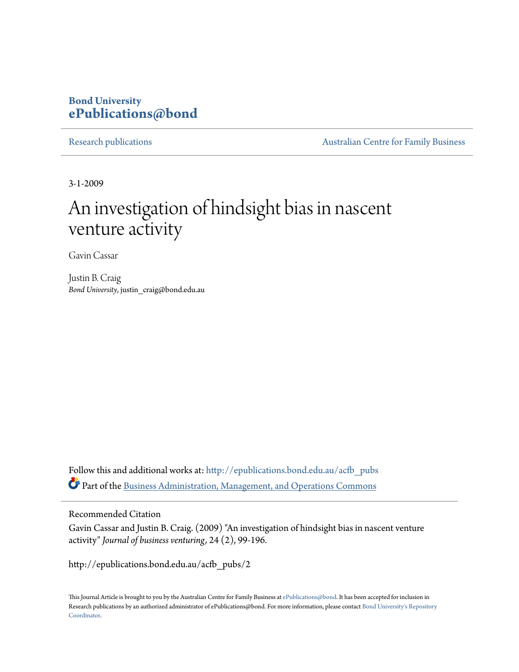## **Bond University [ePublications@bond](http://epublications.bond.edu.au?utm_source=epublications.bond.edu.au%2Facfb_pubs%2F2&utm_medium=PDF&utm_campaign=PDFCoverPages)**

[Research publications](http://epublications.bond.edu.au/acfb_pubs?utm_source=epublications.bond.edu.au%2Facfb_pubs%2F2&utm_medium=PDF&utm_campaign=PDFCoverPages) **[Australian Centre for Family Business](http://epublications.bond.edu.au/acfb?utm_source=epublications.bond.edu.au%2Facfb_pubs%2F2&utm_medium=PDF&utm_campaign=PDFCoverPages)** 

3-1-2009

# An investigation of hindsight bias in nascent venture activity

Gavin Cassar

Justin B. Craig *Bond University*, justin\_craig@bond.edu.au

Follow this and additional works at: [http://epublications.bond.edu.au/acfb\\_pubs](http://epublications.bond.edu.au/acfb_pubs?utm_source=epublications.bond.edu.au%2Facfb_pubs%2F2&utm_medium=PDF&utm_campaign=PDFCoverPages) Part of the [Business Administration, Management, and Operations Commons](http://network.bepress.com/hgg/discipline/623?utm_source=epublications.bond.edu.au%2Facfb_pubs%2F2&utm_medium=PDF&utm_campaign=PDFCoverPages)

## Recommended Citation

Gavin Cassar and Justin B. Craig. (2009) "An investigation of hindsight bias in nascent venture activity" *Journal of business venturing,* 24 (2), 99-196.

http://epublications.bond.edu.au/acfb\_pubs/2

This Journal Article is brought to you by the Australian Centre for Family Business at [ePublications@bond.](http://epublications.bond.edu.au) It has been accepted for inclusion in Research publications by an authorized administrator of ePublications@bond. For more information, please contact [Bond University's Repository](mailto:acass@bond.edu.au) [Coordinator](mailto:acass@bond.edu.au).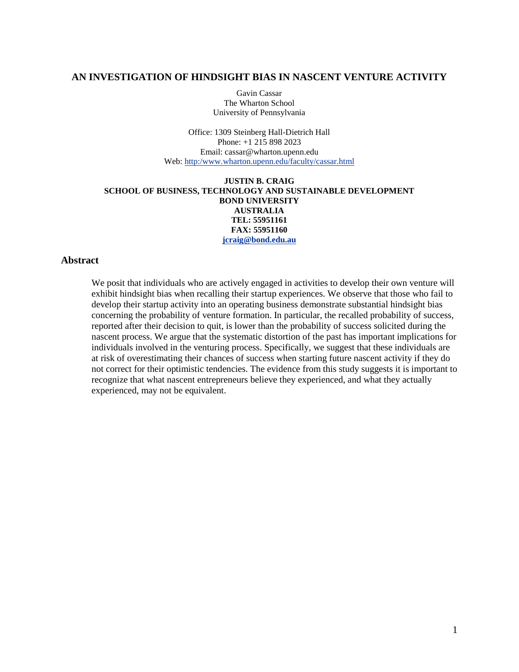## **AN INVESTIGATION OF HINDSIGHT BIAS IN NASCENT VENTURE ACTIVITY**

Gavin Cassar The Wharton School University of Pennsylvania

Office: 1309 Steinberg Hall-Dietrich Hall Phone: +1 215 898 2023 Email: cassar@wharton.upenn.edu Web: [http:/www.wharton.upenn.edu/faculty/cassar.html](http://www.wharton.upenn.edu/faculty/cassar.html)

#### **JUSTIN B. CRAIG SCHOOL OF BUSINESS, TECHNOLOGY AND SUSTAINABLE DEVELOPMENT BOND UNIVERSITY AUSTRALIA TEL: 55951161 FAX: 55951160 [jcraig@bond.edu.au](mailto:jcraig@bond.edu.au)**

## **Abstract**

We posit that individuals who are actively engaged in activities to develop their own venture will exhibit hindsight bias when recalling their startup experiences. We observe that those who fail to develop their startup activity into an operating business demonstrate substantial hindsight bias concerning the probability of venture formation. In particular, the recalled probability of success, reported after their decision to quit, is lower than the probability of success solicited during the nascent process. We argue that the systematic distortion of the past has important implications for individuals involved in the venturing process. Specifically, we suggest that these individuals are at risk of overestimating their chances of success when starting future nascent activity if they do not correct for their optimistic tendencies. The evidence from this study suggests it is important to recognize that what nascent entrepreneurs believe they experienced, and what they actually experienced, may not be equivalent.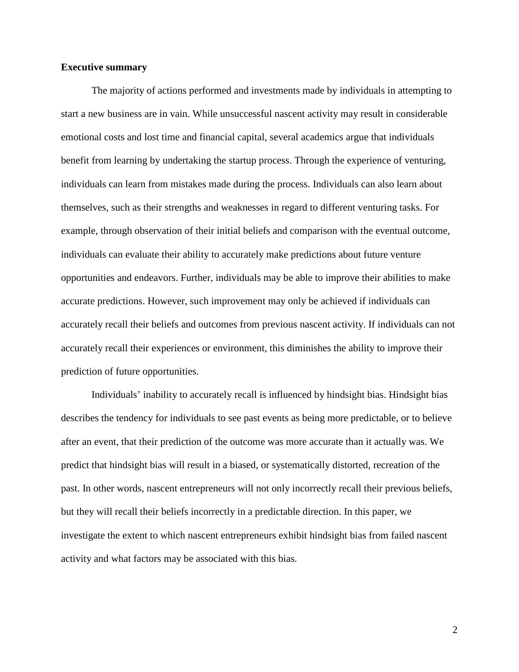## **Executive summary**

The majority of actions performed and investments made by individuals in attempting to start a new business are in vain. While unsuccessful nascent activity may result in considerable emotional costs and lost time and financial capital, several academics argue that individuals benefit from learning by undertaking the startup process. Through the experience of venturing, individuals can learn from mistakes made during the process. Individuals can also learn about themselves, such as their strengths and weaknesses in regard to different venturing tasks. For example, through observation of their initial beliefs and comparison with the eventual outcome, individuals can evaluate their ability to accurately make predictions about future venture opportunities and endeavors. Further, individuals may be able to improve their abilities to make accurate predictions. However, such improvement may only be achieved if individuals can accurately recall their beliefs and outcomes from previous nascent activity. If individuals can not accurately recall their experiences or environment, this diminishes the ability to improve their prediction of future opportunities.

Individuals' inability to accurately recall is influenced by hindsight bias. Hindsight bias describes the tendency for individuals to see past events as being more predictable, or to believe after an event, that their prediction of the outcome was more accurate than it actually was. We predict that hindsight bias will result in a biased, or systematically distorted, recreation of the past. In other words, nascent entrepreneurs will not only incorrectly recall their previous beliefs, but they will recall their beliefs incorrectly in a predictable direction. In this paper, we investigate the extent to which nascent entrepreneurs exhibit hindsight bias from failed nascent activity and what factors may be associated with this bias.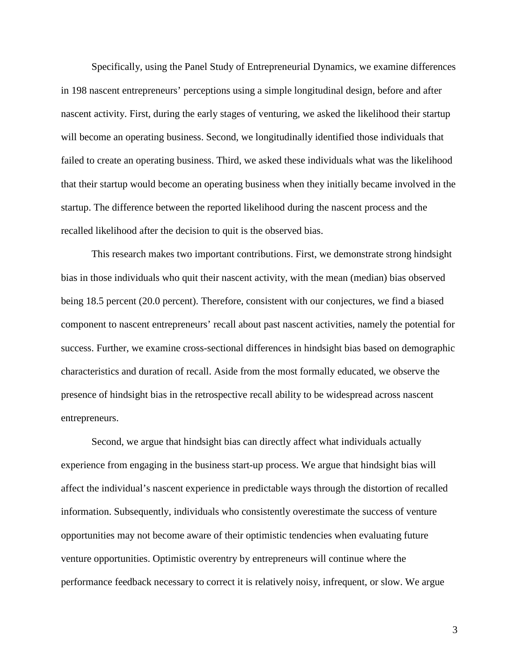Specifically, using the Panel Study of Entrepreneurial Dynamics, we examine differences in 198 nascent entrepreneurs' perceptions using a simple longitudinal design, before and after nascent activity. First, during the early stages of venturing, we asked the likelihood their startup will become an operating business. Second, we longitudinally identified those individuals that failed to create an operating business. Third, we asked these individuals what was the likelihood that their startup would become an operating business when they initially became involved in the startup. The difference between the reported likelihood during the nascent process and the recalled likelihood after the decision to quit is the observed bias.

This research makes two important contributions. First, we demonstrate strong hindsight bias in those individuals who quit their nascent activity, with the mean (median) bias observed being 18.5 percent (20.0 percent). Therefore, consistent with our conjectures, we find a biased component to nascent entrepreneurs' recall about past nascent activities, namely the potential for success. Further, we examine cross-sectional differences in hindsight bias based on demographic characteristics and duration of recall. Aside from the most formally educated, we observe the presence of hindsight bias in the retrospective recall ability to be widespread across nascent entrepreneurs.

Second, we argue that hindsight bias can directly affect what individuals actually experience from engaging in the business start-up process. We argue that hindsight bias will affect the individual's nascent experience in predictable ways through the distortion of recalled information. Subsequently, individuals who consistently overestimate the success of venture opportunities may not become aware of their optimistic tendencies when evaluating future venture opportunities. Optimistic overentry by entrepreneurs will continue where the performance feedback necessary to correct it is relatively noisy, infrequent, or slow. We argue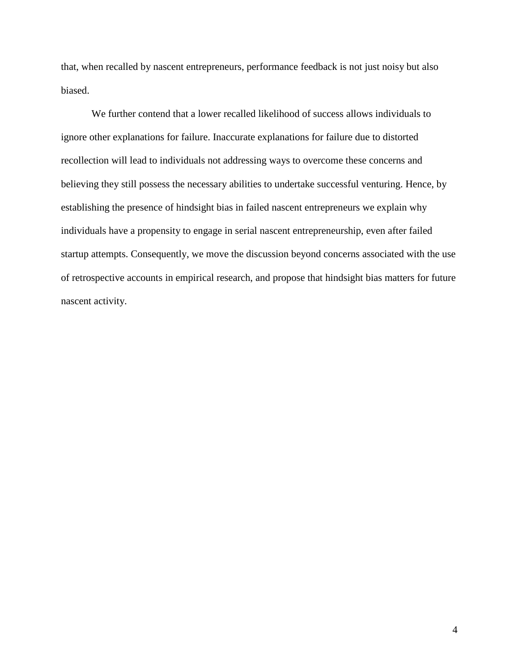that, when recalled by nascent entrepreneurs, performance feedback is not just noisy but also biased.

We further contend that a lower recalled likelihood of success allows individuals to ignore other explanations for failure. Inaccurate explanations for failure due to distorted recollection will lead to individuals not addressing ways to overcome these concerns and believing they still possess the necessary abilities to undertake successful venturing. Hence, by establishing the presence of hindsight bias in failed nascent entrepreneurs we explain why individuals have a propensity to engage in serial nascent entrepreneurship, even after failed startup attempts. Consequently, we move the discussion beyond concerns associated with the use of retrospective accounts in empirical research, and propose that hindsight bias matters for future nascent activity.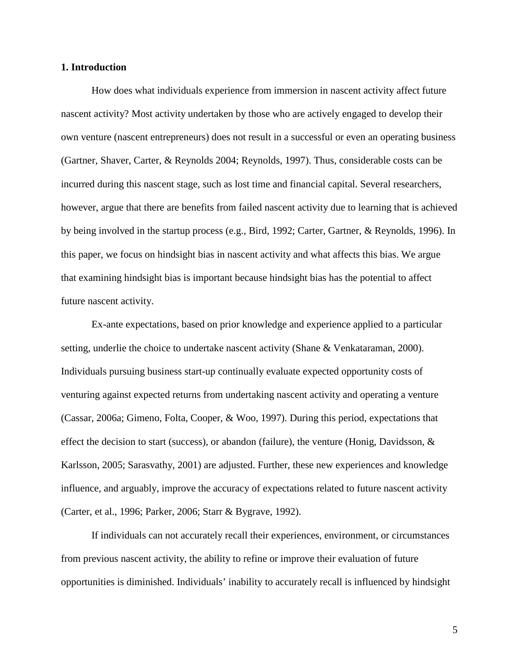## **1. Introduction**

How does what individuals experience from immersion in nascent activity affect future nascent activity? Most activity undertaken by those who are actively engaged to develop their own venture (nascent entrepreneurs) does not result in a successful or even an operating business (Gartner, Shaver, Carter, & Reynolds 2004; Reynolds, 1997). Thus, considerable costs can be incurred during this nascent stage, such as lost time and financial capital. Several researchers, however, argue that there are benefits from failed nascent activity due to learning that is achieved by being involved in the startup process (e.g., Bird, 1992; Carter, Gartner, & Reynolds, 1996). In this paper, we focus on hindsight bias in nascent activity and what affects this bias. We argue that examining hindsight bias is important because hindsight bias has the potential to affect future nascent activity.

Ex-ante expectations, based on prior knowledge and experience applied to a particular setting, underlie the choice to undertake nascent activity (Shane & Venkataraman, 2000). Individuals pursuing business start-up continually evaluate expected opportunity costs of venturing against expected returns from undertaking nascent activity and operating a venture (Cassar, 2006a; Gimeno, Folta, Cooper, & Woo, 1997). During this period, expectations that effect the decision to start (success), or abandon (failure), the venture (Honig, Davidsson,  $\&$ Karlsson, 2005; Sarasvathy, 2001) are adjusted. Further, these new experiences and knowledge influence, and arguably, improve the accuracy of expectations related to future nascent activity (Carter, et al., 1996; Parker, 2006; Starr & Bygrave, 1992).

If individuals can not accurately recall their experiences, environment, or circumstances from previous nascent activity, the ability to refine or improve their evaluation of future opportunities is diminished. Individuals' inability to accurately recall is influenced by hindsight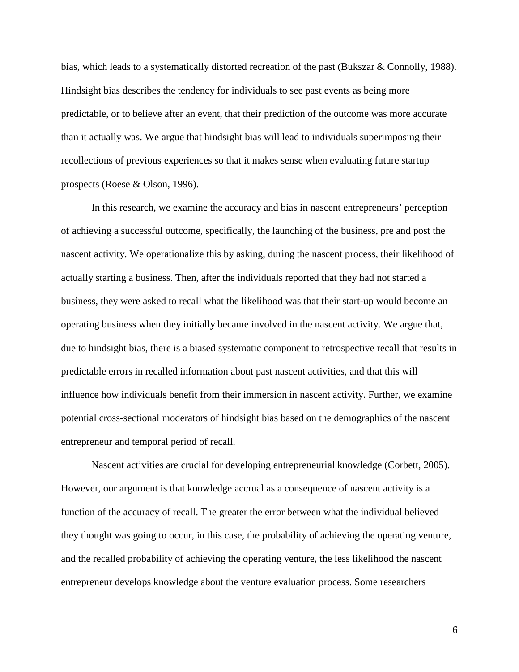bias, which leads to a systematically distorted recreation of the past (Bukszar & Connolly, 1988). Hindsight bias describes the tendency for individuals to see past events as being more predictable, or to believe after an event, that their prediction of the outcome was more accurate than it actually was. We argue that hindsight bias will lead to individuals superimposing their recollections of previous experiences so that it makes sense when evaluating future startup prospects (Roese & Olson, 1996).

In this research, we examine the accuracy and bias in nascent entrepreneurs' perception of achieving a successful outcome, specifically, the launching of the business, pre and post the nascent activity. We operationalize this by asking, during the nascent process, their likelihood of actually starting a business. Then, after the individuals reported that they had not started a business, they were asked to recall what the likelihood was that their start-up would become an operating business when they initially became involved in the nascent activity. We argue that, due to hindsight bias, there is a biased systematic component to retrospective recall that results in predictable errors in recalled information about past nascent activities, and that this will influence how individuals benefit from their immersion in nascent activity. Further, we examine potential cross-sectional moderators of hindsight bias based on the demographics of the nascent entrepreneur and temporal period of recall.

Nascent activities are crucial for developing entrepreneurial knowledge (Corbett, 2005). However, our argument is that knowledge accrual as a consequence of nascent activity is a function of the accuracy of recall. The greater the error between what the individual believed they thought was going to occur, in this case, the probability of achieving the operating venture, and the recalled probability of achieving the operating venture, the less likelihood the nascent entrepreneur develops knowledge about the venture evaluation process. Some researchers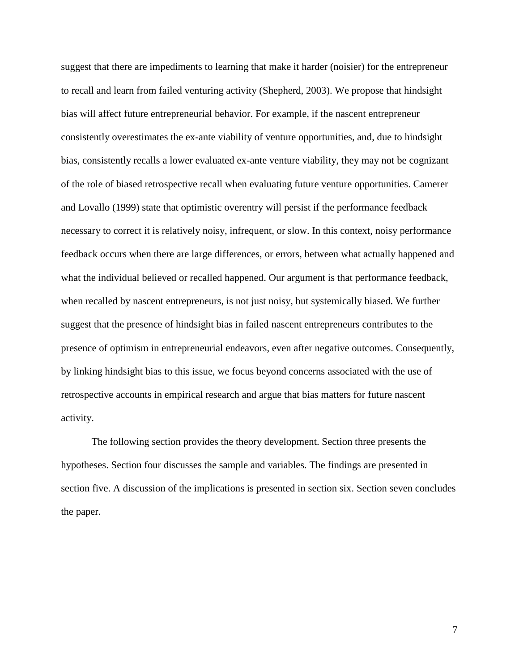suggest that there are impediments to learning that make it harder (noisier) for the entrepreneur to recall and learn from failed venturing activity (Shepherd, 2003). We propose that hindsight bias will affect future entrepreneurial behavior. For example, if the nascent entrepreneur consistently overestimates the ex-ante viability of venture opportunities, and, due to hindsight bias, consistently recalls a lower evaluated ex-ante venture viability, they may not be cognizant of the role of biased retrospective recall when evaluating future venture opportunities. Camerer and Lovallo (1999) state that optimistic overentry will persist if the performance feedback necessary to correct it is relatively noisy, infrequent, or slow. In this context, noisy performance feedback occurs when there are large differences, or errors, between what actually happened and what the individual believed or recalled happened. Our argument is that performance feedback, when recalled by nascent entrepreneurs, is not just noisy, but systemically biased. We further suggest that the presence of hindsight bias in failed nascent entrepreneurs contributes to the presence of optimism in entrepreneurial endeavors, even after negative outcomes. Consequently, by linking hindsight bias to this issue, we focus beyond concerns associated with the use of retrospective accounts in empirical research and argue that bias matters for future nascent activity.

The following section provides the theory development. Section three presents the hypotheses. Section four discusses the sample and variables. The findings are presented in section five. A discussion of the implications is presented in section six. Section seven concludes the paper.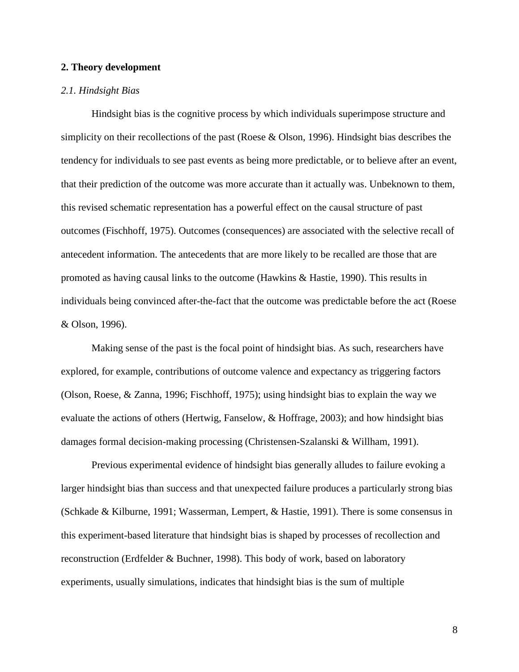## **2. Theory development**

## *2.1. Hindsight Bias*

Hindsight bias is the cognitive process by which individuals superimpose structure and simplicity on their recollections of the past (Roese & Olson, 1996). Hindsight bias describes the tendency for individuals to see past events as being more predictable, or to believe after an event, that their prediction of the outcome was more accurate than it actually was. Unbeknown to them, this revised schematic representation has a powerful effect on the causal structure of past outcomes (Fischhoff, 1975). Outcomes (consequences) are associated with the selective recall of antecedent information. The antecedents that are more likely to be recalled are those that are promoted as having causal links to the outcome (Hawkins & Hastie, 1990). This results in individuals being convinced after-the-fact that the outcome was predictable before the act (Roese & Olson, 1996).

Making sense of the past is the focal point of hindsight bias. As such, researchers have explored, for example, contributions of outcome valence and expectancy as triggering factors (Olson, Roese, & Zanna, 1996; Fischhoff, 1975); using hindsight bias to explain the way we evaluate the actions of others (Hertwig, Fanselow, & Hoffrage, 2003); and how hindsight bias damages formal decision-making processing (Christensen-Szalanski & Willham, 1991).

Previous experimental evidence of hindsight bias generally alludes to failure evoking a larger hindsight bias than success and that unexpected failure produces a particularly strong bias (Schkade & Kilburne, 1991; Wasserman, Lempert, & Hastie, 1991). There is some consensus in this experiment-based literature that hindsight bias is shaped by processes of recollection and reconstruction (Erdfelder & Buchner, 1998). This body of work, based on laboratory experiments, usually simulations, indicates that hindsight bias is the sum of multiple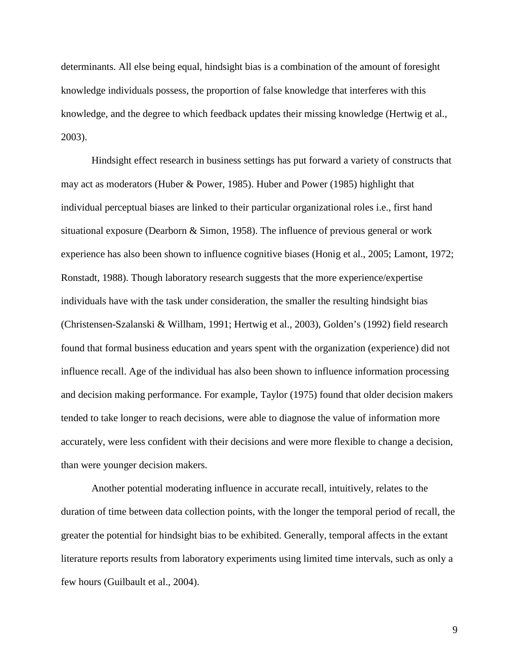determinants. All else being equal, hindsight bias is a combination of the amount of foresight knowledge individuals possess, the proportion of false knowledge that interferes with this knowledge, and the degree to which feedback updates their missing knowledge (Hertwig et al., 2003).

Hindsight effect research in business settings has put forward a variety of constructs that may act as moderators (Huber & Power, 1985). Huber and Power (1985) highlight that individual perceptual biases are linked to their particular organizational roles i.e., first hand situational exposure (Dearborn & Simon, 1958). The influence of previous general or work experience has also been shown to influence cognitive biases (Honig et al., 2005; Lamont, 1972; Ronstadt, 1988). Though laboratory research suggests that the more experience/expertise individuals have with the task under consideration, the smaller the resulting hindsight bias (Christensen-Szalanski & Willham, 1991; Hertwig et al., 2003), Golden's (1992) field research found that formal business education and years spent with the organization (experience) did not influence recall. Age of the individual has also been shown to influence information processing and decision making performance. For example, Taylor (1975) found that older decision makers tended to take longer to reach decisions, were able to diagnose the value of information more accurately, were less confident with their decisions and were more flexible to change a decision, than were younger decision makers.

Another potential moderating influence in accurate recall, intuitively, relates to the duration of time between data collection points, with the longer the temporal period of recall, the greater the potential for hindsight bias to be exhibited. Generally, temporal affects in the extant literature reports results from laboratory experiments using limited time intervals, such as only a few hours (Guilbault et al., 2004).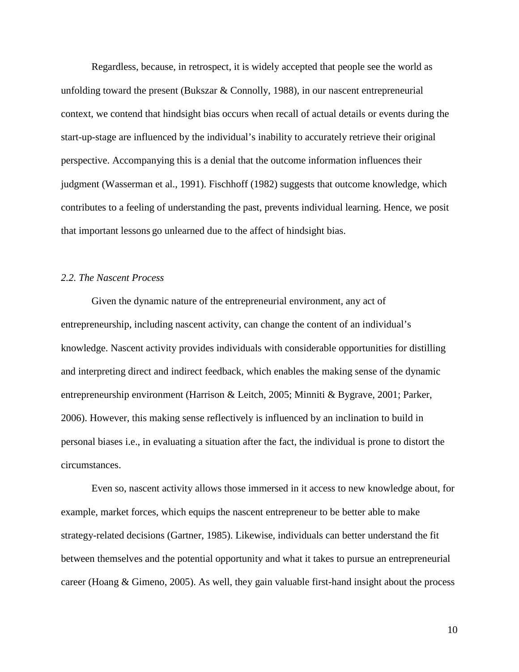Regardless, because, in retrospect, it is widely accepted that people see the world as unfolding toward the present (Bukszar & Connolly, 1988), in our nascent entrepreneurial context, we contend that hindsight bias occurs when recall of actual details or events during the start-up-stage are influenced by the individual's inability to accurately retrieve their original perspective. Accompanying this is a denial that the outcome information influences their judgment (Wasserman et al., 1991). Fischhoff (1982) suggests that outcome knowledge, which contributes to a feeling of understanding the past, prevents individual learning. Hence, we posit that important lessons go unlearned due to the affect of hindsight bias.

## *2.2. The Nascent Process*

Given the dynamic nature of the entrepreneurial environment, any act of entrepreneurship, including nascent activity, can change the content of an individual's knowledge. Nascent activity provides individuals with considerable opportunities for distilling and interpreting direct and indirect feedback, which enables the making sense of the dynamic entrepreneurship environment (Harrison & Leitch, 2005; Minniti & Bygrave, 2001; Parker, 2006). However, this making sense reflectively is influenced by an inclination to build in personal biases i.e., in evaluating a situation after the fact, the individual is prone to distort the circumstances.

Even so, nascent activity allows those immersed in it access to new knowledge about, for example, market forces, which equips the nascent entrepreneur to be better able to make strategy-related decisions (Gartner, 1985). Likewise, individuals can better understand the fit between themselves and the potential opportunity and what it takes to pursue an entrepreneurial career (Hoang & Gimeno, 2005). As well, they gain valuable first-hand insight about the process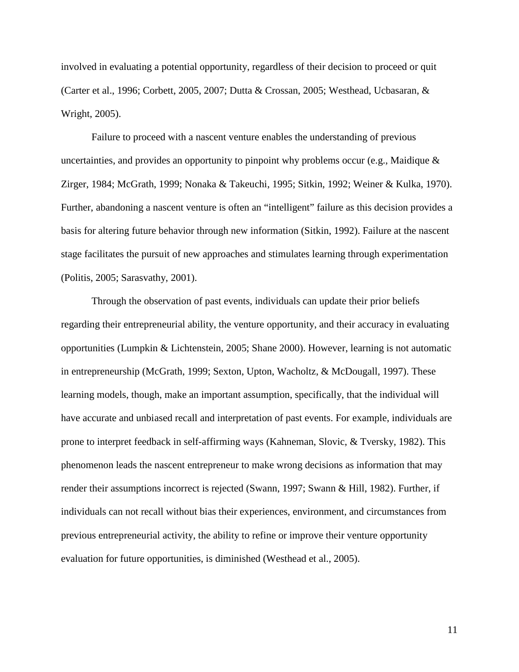involved in evaluating a potential opportunity, regardless of their decision to proceed or quit (Carter et al., 1996; Corbett, 2005, 2007; Dutta & Crossan, 2005; Westhead, Ucbasaran, & Wright, 2005).

Failure to proceed with a nascent venture enables the understanding of previous uncertainties, and provides an opportunity to pinpoint why problems occur (e.g., Maidique  $\&$ Zirger, 1984; McGrath, 1999; Nonaka & Takeuchi, 1995; Sitkin, 1992; Weiner & Kulka, 1970). Further, abandoning a nascent venture is often an "intelligent" failure as this decision provides a basis for altering future behavior through new information (Sitkin, 1992). Failure at the nascent stage facilitates the pursuit of new approaches and stimulates learning through experimentation (Politis, 2005; Sarasvathy, 2001).

Through the observation of past events, individuals can update their prior beliefs regarding their entrepreneurial ability, the venture opportunity, and their accuracy in evaluating opportunities (Lumpkin & Lichtenstein, 2005; Shane 2000). However, learning is not automatic in entrepreneurship (McGrath, 1999; Sexton, Upton, Wacholtz, & McDougall, 1997). These learning models, though, make an important assumption, specifically, that the individual will have accurate and unbiased recall and interpretation of past events. For example, individuals are prone to interpret feedback in self-affirming ways (Kahneman, Slovic, & Tversky, 1982). This phenomenon leads the nascent entrepreneur to make wrong decisions as information that may render their assumptions incorrect is rejected (Swann, 1997; Swann & Hill, 1982). Further, if individuals can not recall without bias their experiences, environment, and circumstances from previous entrepreneurial activity, the ability to refine or improve their venture opportunity evaluation for future opportunities, is diminished (Westhead et al., 2005).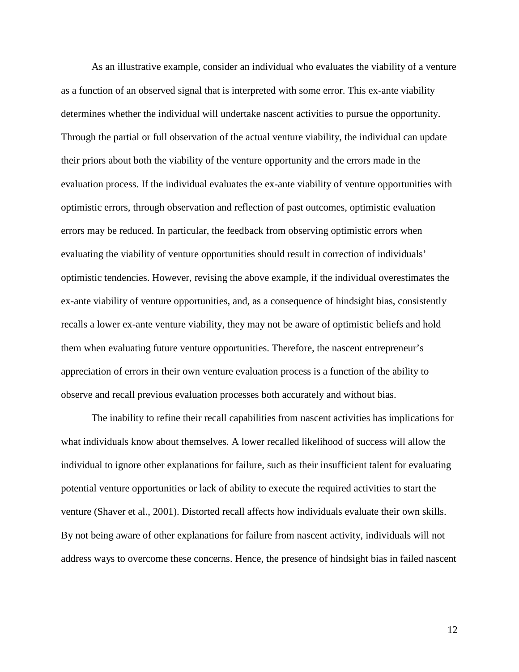As an illustrative example, consider an individual who evaluates the viability of a venture as a function of an observed signal that is interpreted with some error. This ex-ante viability determines whether the individual will undertake nascent activities to pursue the opportunity. Through the partial or full observation of the actual venture viability, the individual can update their priors about both the viability of the venture opportunity and the errors made in the evaluation process. If the individual evaluates the ex-ante viability of venture opportunities with optimistic errors, through observation and reflection of past outcomes, optimistic evaluation errors may be reduced. In particular, the feedback from observing optimistic errors when evaluating the viability of venture opportunities should result in correction of individuals' optimistic tendencies. However, revising the above example, if the individual overestimates the ex-ante viability of venture opportunities, and, as a consequence of hindsight bias, consistently recalls a lower ex-ante venture viability, they may not be aware of optimistic beliefs and hold them when evaluating future venture opportunities. Therefore, the nascent entrepreneur's appreciation of errors in their own venture evaluation process is a function of the ability to observe and recall previous evaluation processes both accurately and without bias.

The inability to refine their recall capabilities from nascent activities has implications for what individuals know about themselves. A lower recalled likelihood of success will allow the individual to ignore other explanations for failure, such as their insufficient talent for evaluating potential venture opportunities or lack of ability to execute the required activities to start the venture (Shaver et al., 2001). Distorted recall affects how individuals evaluate their own skills. By not being aware of other explanations for failure from nascent activity, individuals will not address ways to overcome these concerns. Hence, the presence of hindsight bias in failed nascent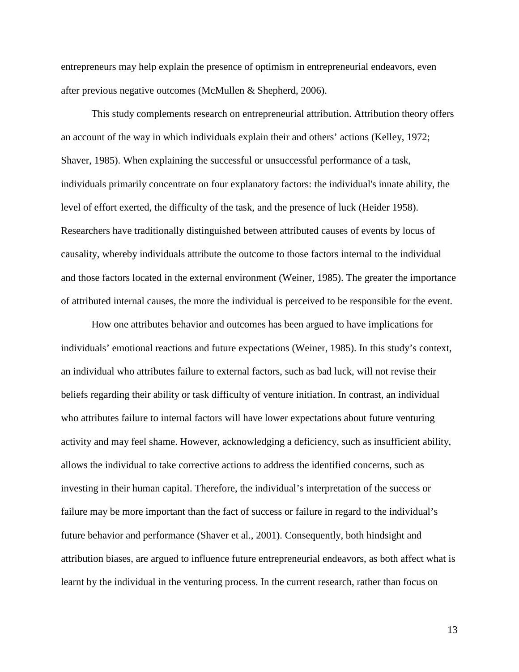entrepreneurs may help explain the presence of optimism in entrepreneurial endeavors, even after previous negative outcomes (McMullen & Shepherd, 2006).

This study complements research on entrepreneurial attribution. Attribution theory offers an account of the way in which individuals explain their and others' actions (Kelley, 1972; Shaver, 1985). When explaining the successful or unsuccessful performance of a task, individuals primarily concentrate on four explanatory factors: the individual's innate ability, the level of effort exerted, the difficulty of the task, and the presence of luck (Heider 1958). Researchers have traditionally distinguished between attributed causes of events by locus of causality, whereby individuals attribute the outcome to those factors internal to the individual and those factors located in the external environment (Weiner, 1985). The greater the importance of attributed internal causes, the more the individual is perceived to be responsible for the event.

How one attributes behavior and outcomes has been argued to have implications for individuals' emotional reactions and future expectations (Weiner, 1985). In this study's context, an individual who attributes failure to external factors, such as bad luck, will not revise their beliefs regarding their ability or task difficulty of venture initiation. In contrast, an individual who attributes failure to internal factors will have lower expectations about future venturing activity and may feel shame. However, acknowledging a deficiency, such as insufficient ability, allows the individual to take corrective actions to address the identified concerns, such as investing in their human capital. Therefore, the individual's interpretation of the success or failure may be more important than the fact of success or failure in regard to the individual's future behavior and performance (Shaver et al., 2001). Consequently, both hindsight and attribution biases, are argued to influence future entrepreneurial endeavors, as both affect what is learnt by the individual in the venturing process. In the current research, rather than focus on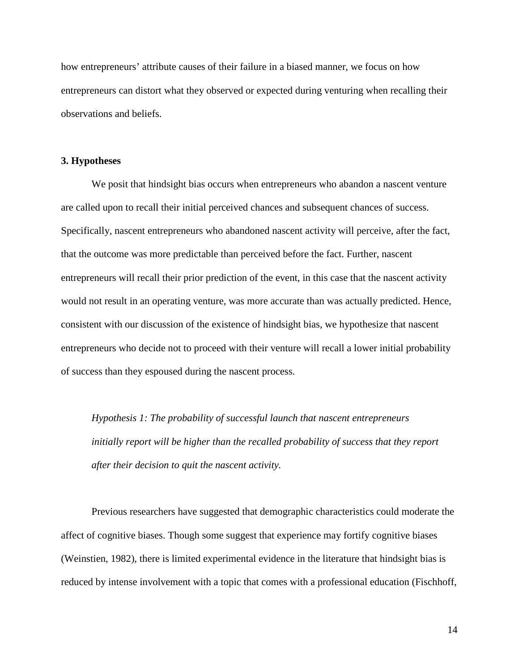how entrepreneurs' attribute causes of their failure in a biased manner, we focus on how entrepreneurs can distort what they observed or expected during venturing when recalling their observations and beliefs.

## **3. Hypotheses**

We posit that hindsight bias occurs when entrepreneurs who abandon a nascent venture are called upon to recall their initial perceived chances and subsequent chances of success. Specifically, nascent entrepreneurs who abandoned nascent activity will perceive, after the fact, that the outcome was more predictable than perceived before the fact. Further, nascent entrepreneurs will recall their prior prediction of the event, in this case that the nascent activity would not result in an operating venture, was more accurate than was actually predicted. Hence, consistent with our discussion of the existence of hindsight bias, we hypothesize that nascent entrepreneurs who decide not to proceed with their venture will recall a lower initial probability of success than they espoused during the nascent process.

*Hypothesis 1: The probability of successful launch that nascent entrepreneurs initially report will be higher than the recalled probability of success that they report after their decision to quit the nascent activity.*

Previous researchers have suggested that demographic characteristics could moderate the affect of cognitive biases. Though some suggest that experience may fortify cognitive biases (Weinstien, 1982), there is limited experimental evidence in the literature that hindsight bias is reduced by intense involvement with a topic that comes with a professional education (Fischhoff,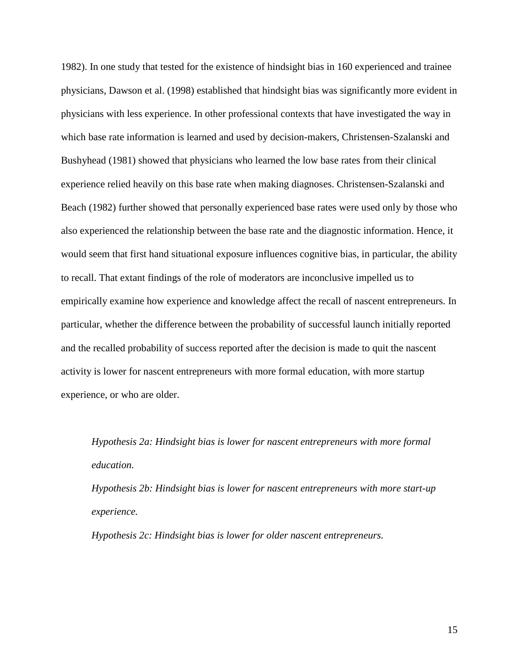1982). In one study that tested for the existence of hindsight bias in 160 experienced and trainee physicians, Dawson et al. (1998) established that hindsight bias was significantly more evident in physicians with less experience. In other professional contexts that have investigated the way in which base rate information is learned and used by decision-makers, Christensen-Szalanski and Bushyhead (1981) showed that physicians who learned the low base rates from their clinical experience relied heavily on this base rate when making diagnoses. Christensen-Szalanski and Beach (1982) further showed that personally experienced base rates were used only by those who also experienced the relationship between the base rate and the diagnostic information. Hence, it would seem that first hand situational exposure influences cognitive bias, in particular, the ability to recall. That extant findings of the role of moderators are inconclusive impelled us to empirically examine how experience and knowledge affect the recall of nascent entrepreneurs. In particular, whether the difference between the probability of successful launch initially reported and the recalled probability of success reported after the decision is made to quit the nascent activity is lower for nascent entrepreneurs with more formal education, with more startup experience, or who are older.

*Hypothesis 2a: Hindsight bias is lower for nascent entrepreneurs with more formal education.*

*Hypothesis 2b: Hindsight bias is lower for nascent entrepreneurs with more start-up experience.*

*Hypothesis 2c: Hindsight bias is lower for older nascent entrepreneurs.*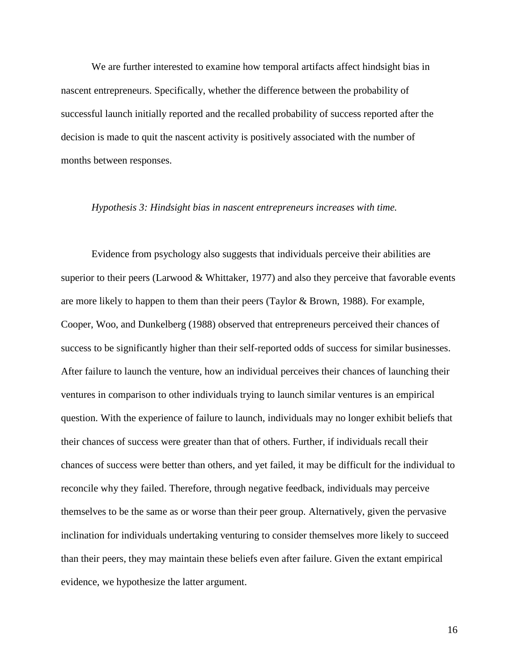We are further interested to examine how temporal artifacts affect hindsight bias in nascent entrepreneurs. Specifically, whether the difference between the probability of successful launch initially reported and the recalled probability of success reported after the decision is made to quit the nascent activity is positively associated with the number of months between responses.

#### *Hypothesis 3: Hindsight bias in nascent entrepreneurs increases with time.*

Evidence from psychology also suggests that individuals perceive their abilities are superior to their peers (Larwood & Whittaker, 1977) and also they perceive that favorable events are more likely to happen to them than their peers (Taylor & Brown, 1988). For example, Cooper, Woo, and Dunkelberg (1988) observed that entrepreneurs perceived their chances of success to be significantly higher than their self-reported odds of success for similar businesses. After failure to launch the venture, how an individual perceives their chances of launching their ventures in comparison to other individuals trying to launch similar ventures is an empirical question. With the experience of failure to launch, individuals may no longer exhibit beliefs that their chances of success were greater than that of others. Further, if individuals recall their chances of success were better than others, and yet failed, it may be difficult for the individual to reconcile why they failed. Therefore, through negative feedback, individuals may perceive themselves to be the same as or worse than their peer group. Alternatively, given the pervasive inclination for individuals undertaking venturing to consider themselves more likely to succeed than their peers, they may maintain these beliefs even after failure. Given the extant empirical evidence, we hypothesize the latter argument.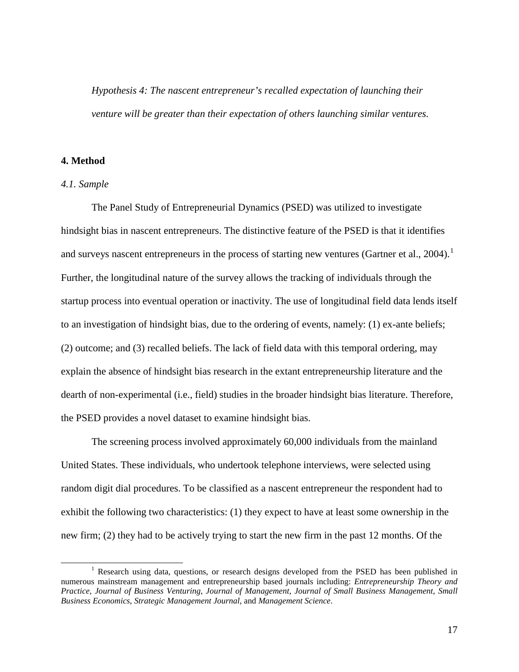*Hypothesis 4: The nascent entrepreneur's recalled expectation of launching their venture will be greater than their expectation of others launching similar ventures.*

## **4. Method**

#### *4.1. Sample*

The Panel Study of Entrepreneurial Dynamics (PSED) was utilized to investigate hindsight bias in nascent entrepreneurs. The distinctive feature of the PSED is that it identifies and surveys nascent entrepreneurs in the process of starting new ventures (Gartner et al., 2004).<sup>[1](#page-17-0)</sup> Further, the longitudinal nature of the survey allows the tracking of individuals through the startup process into eventual operation or inactivity. The use of longitudinal field data lends itself to an investigation of hindsight bias, due to the ordering of events, namely: (1) ex-ante beliefs; (2) outcome; and (3) recalled beliefs. The lack of field data with this temporal ordering, may explain the absence of hindsight bias research in the extant entrepreneurship literature and the dearth of non-experimental (i.e., field) studies in the broader hindsight bias literature. Therefore, the PSED provides a novel dataset to examine hindsight bias.

The screening process involved approximately 60,000 individuals from the mainland United States. These individuals, who undertook telephone interviews, were selected using random digit dial procedures. To be classified as a nascent entrepreneur the respondent had to exhibit the following two characteristics: (1) they expect to have at least some ownership in the new firm; (2) they had to be actively trying to start the new firm in the past 12 months. Of the

<span id="page-17-0"></span><sup>&</sup>lt;sup>1</sup> Research using data, questions, or research designs developed from the PSED has been published in numerous mainstream management and entrepreneurship based journals including: *Entrepreneurship Theory and Practice*, *Journal of Business Venturing*, *Journal of Management*, *Journal of Small Business Management*, *Small Business Economics*, *Strategic Management Journal*, and *Management Science*.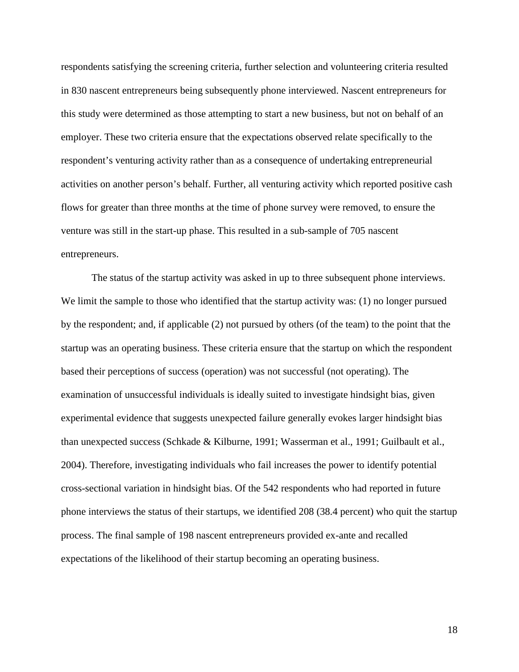respondents satisfying the screening criteria, further selection and volunteering criteria resulted in 830 nascent entrepreneurs being subsequently phone interviewed. Nascent entrepreneurs for this study were determined as those attempting to start a new business, but not on behalf of an employer. These two criteria ensure that the expectations observed relate specifically to the respondent's venturing activity rather than as a consequence of undertaking entrepreneurial activities on another person's behalf. Further, all venturing activity which reported positive cash flows for greater than three months at the time of phone survey were removed, to ensure the venture was still in the start-up phase. This resulted in a sub-sample of 705 nascent entrepreneurs.

The status of the startup activity was asked in up to three subsequent phone interviews. We limit the sample to those who identified that the startup activity was: (1) no longer pursued by the respondent; and, if applicable (2) not pursued by others (of the team) to the point that the startup was an operating business. These criteria ensure that the startup on which the respondent based their perceptions of success (operation) was not successful (not operating). The examination of unsuccessful individuals is ideally suited to investigate hindsight bias, given experimental evidence that suggests unexpected failure generally evokes larger hindsight bias than unexpected success (Schkade & Kilburne, 1991; Wasserman et al., 1991; Guilbault et al., 2004). Therefore, investigating individuals who fail increases the power to identify potential cross-sectional variation in hindsight bias. Of the 542 respondents who had reported in future phone interviews the status of their startups, we identified 208 (38.4 percent) who quit the startup process. The final sample of 198 nascent entrepreneurs provided ex-ante and recalled expectations of the likelihood of their startup becoming an operating business.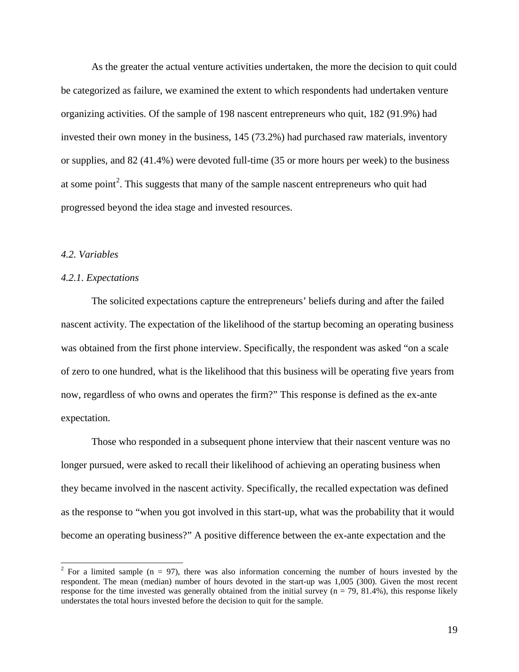As the greater the actual venture activities undertaken, the more the decision to quit could be categorized as failure, we examined the extent to which respondents had undertaken venture organizing activities. Of the sample of 198 nascent entrepreneurs who quit, 182 (91.9%) had invested their own money in the business, 145 (73.2%) had purchased raw materials, inventory or supplies, and 82 (41.4%) were devoted full-time (35 or more hours per week) to the business at some point<sup>[2](#page-19-0)</sup>. This suggests that many of the sample nascent entrepreneurs who quit had progressed beyond the idea stage and invested resources.

## *4.2. Variables*

## *4.2.1. Expectations*

The solicited expectations capture the entrepreneurs' beliefs during and after the failed nascent activity. The expectation of the likelihood of the startup becoming an operating business was obtained from the first phone interview. Specifically, the respondent was asked "on a scale of zero to one hundred, what is the likelihood that this business will be operating five years from now, regardless of who owns and operates the firm?" This response is defined as the ex-ante expectation.

Those who responded in a subsequent phone interview that their nascent venture was no longer pursued, were asked to recall their likelihood of achieving an operating business when they became involved in the nascent activity. Specifically, the recalled expectation was defined as the response to "when you got involved in this start-up, what was the probability that it would become an operating business?" A positive difference between the ex-ante expectation and the

<span id="page-19-0"></span><sup>&</sup>lt;sup>2</sup> For a limited sample (n = 97), there was also information concerning the number of hours invested by the respondent. The mean (median) number of hours devoted in the start-up was 1,005 (300). Given the most recent response for the time invested was generally obtained from the initial survey  $(n = 79, 81.4\%)$ , this response likely understates the total hours invested before the decision to quit for the sample.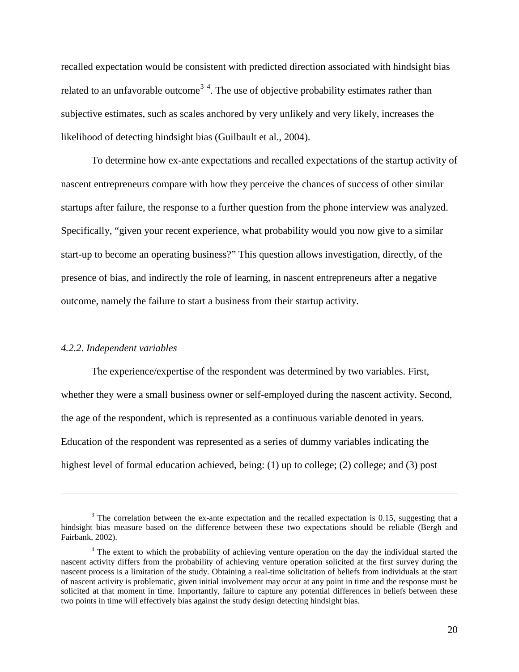recalled expectation would be consistent with predicted direction associated with hindsight bias related to an unfavorable outcome<sup>[3](#page-20-0)[4](#page-20-1)</sup>. The use of objective probability estimates rather than subjective estimates, such as scales anchored by very unlikely and very likely, increases the likelihood of detecting hindsight bias (Guilbault et al., 2004).

To determine how ex-ante expectations and recalled expectations of the startup activity of nascent entrepreneurs compare with how they perceive the chances of success of other similar startups after failure, the response to a further question from the phone interview was analyzed. Specifically, "given your recent experience, what probability would you now give to a similar start-up to become an operating business?" This question allows investigation, directly, of the presence of bias, and indirectly the role of learning, in nascent entrepreneurs after a negative outcome, namely the failure to start a business from their startup activity.

#### *4.2.2. Independent variables*

 $\overline{a}$ 

The experience/expertise of the respondent was determined by two variables. First, whether they were a small business owner or self-employed during the nascent activity. Second, the age of the respondent, which is represented as a continuous variable denoted in years. Education of the respondent was represented as a series of dummy variables indicating the highest level of formal education achieved, being: (1) up to college; (2) college; and (3) post

<span id="page-20-0"></span><sup>&</sup>lt;sup>3</sup> The correlation between the ex-ante expectation and the recalled expectation is 0.15, suggesting that a hindsight bias measure based on the difference between these two expectations should be reliable (Bergh and Fairbank, 2002).

<span id="page-20-1"></span><sup>&</sup>lt;sup>4</sup> The extent to which the probability of achieving venture operation on the day the individual started the nascent activity differs from the probability of achieving venture operation solicited at the first survey during the nascent process is a limitation of the study. Obtaining a real-time solicitation of beliefs from individuals at the start of nascent activity is problematic, given initial involvement may occur at any point in time and the response must be solicited at that moment in time. Importantly, failure to capture any potential differences in beliefs between these two points in time will effectively bias against the study design detecting hindsight bias.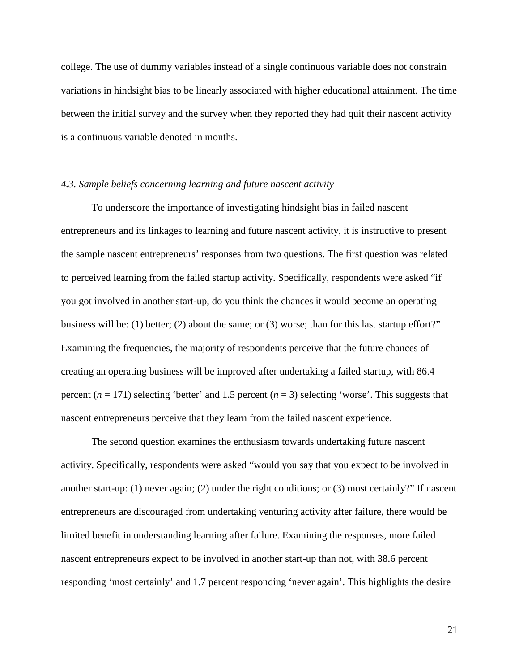college. The use of dummy variables instead of a single continuous variable does not constrain variations in hindsight bias to be linearly associated with higher educational attainment. The time between the initial survey and the survey when they reported they had quit their nascent activity is a continuous variable denoted in months.

## *4.3. Sample beliefs concerning learning and future nascent activity*

To underscore the importance of investigating hindsight bias in failed nascent entrepreneurs and its linkages to learning and future nascent activity, it is instructive to present the sample nascent entrepreneurs' responses from two questions. The first question was related to perceived learning from the failed startup activity. Specifically, respondents were asked "if you got involved in another start-up, do you think the chances it would become an operating business will be: (1) better; (2) about the same; or (3) worse; than for this last startup effort?" Examining the frequencies, the majority of respondents perceive that the future chances of creating an operating business will be improved after undertaking a failed startup, with 86.4 percent  $(n = 171)$  selecting 'better' and 1.5 percent  $(n = 3)$  selecting 'worse'. This suggests that nascent entrepreneurs perceive that they learn from the failed nascent experience.

The second question examines the enthusiasm towards undertaking future nascent activity. Specifically, respondents were asked "would you say that you expect to be involved in another start-up: (1) never again; (2) under the right conditions; or (3) most certainly?" If nascent entrepreneurs are discouraged from undertaking venturing activity after failure, there would be limited benefit in understanding learning after failure. Examining the responses, more failed nascent entrepreneurs expect to be involved in another start-up than not, with 38.6 percent responding 'most certainly' and 1.7 percent responding 'never again'. This highlights the desire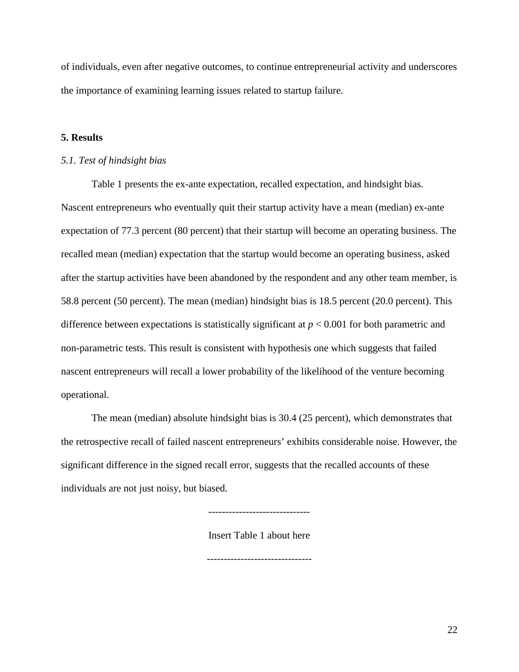of individuals, even after negative outcomes, to continue entrepreneurial activity and underscores the importance of examining learning issues related to startup failure.

## **5. Results**

## *5.1. Test of hindsight bias*

Table 1 presents the ex-ante expectation, recalled expectation, and hindsight bias. Nascent entrepreneurs who eventually quit their startup activity have a mean (median) ex-ante expectation of 77.3 percent (80 percent) that their startup will become an operating business. The recalled mean (median) expectation that the startup would become an operating business, asked after the startup activities have been abandoned by the respondent and any other team member, is 58.8 percent (50 percent). The mean (median) hindsight bias is 18.5 percent (20.0 percent). This difference between expectations is statistically significant at *p* < 0.001 for both parametric and non-parametric tests. This result is consistent with hypothesis one which suggests that failed nascent entrepreneurs will recall a lower probability of the likelihood of the venture becoming operational.

The mean (median) absolute hindsight bias is 30.4 (25 percent), which demonstrates that the retrospective recall of failed nascent entrepreneurs' exhibits considerable noise. However, the significant difference in the signed recall error, suggests that the recalled accounts of these individuals are not just noisy, but biased.

------------------------------

Insert Table 1 about here

-------------------------------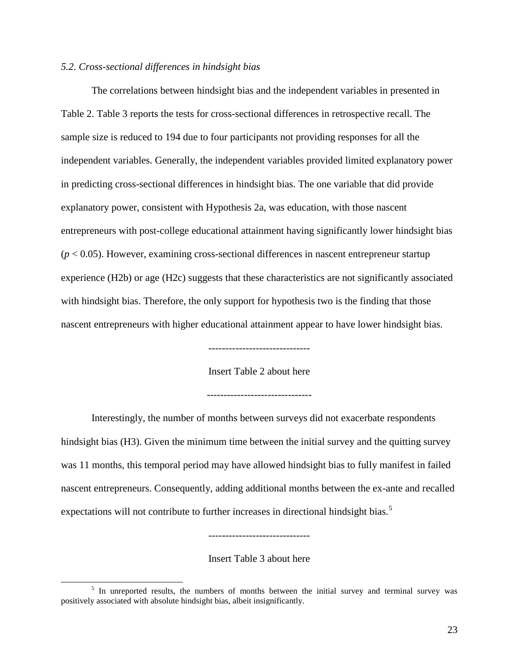## *5.2. Cross-sectional differences in hindsight bias*

The correlations between hindsight bias and the independent variables in presented in Table 2. Table 3 reports the tests for cross-sectional differences in retrospective recall. The sample size is reduced to 194 due to four participants not providing responses for all the independent variables. Generally, the independent variables provided limited explanatory power in predicting cross-sectional differences in hindsight bias. The one variable that did provide explanatory power, consistent with Hypothesis 2a, was education, with those nascent entrepreneurs with post-college educational attainment having significantly lower hindsight bias  $(p < 0.05)$ . However, examining cross-sectional differences in nascent entrepreneur startup experience (H2b) or age (H2c) suggests that these characteristics are not significantly associated with hindsight bias. Therefore, the only support for hypothesis two is the finding that those nascent entrepreneurs with higher educational attainment appear to have lower hindsight bias.

------------------------------

Insert Table 2 about here

-------------------------------

Interestingly, the number of months between surveys did not exacerbate respondents hindsight bias (H3). Given the minimum time between the initial survey and the quitting survey was 11 months, this temporal period may have allowed hindsight bias to fully manifest in failed nascent entrepreneurs. Consequently, adding additional months between the ex-ante and recalled expectations will not contribute to further increases in directional hindsight bias.<sup>[5](#page-23-0)</sup>

Insert Table 3 about here

------------------------------

<span id="page-23-0"></span><sup>&</sup>lt;sup>5</sup> In unreported results, the numbers of months between the initial survey and terminal survey was positively associated with absolute hindsight bias, albeit insignificantly.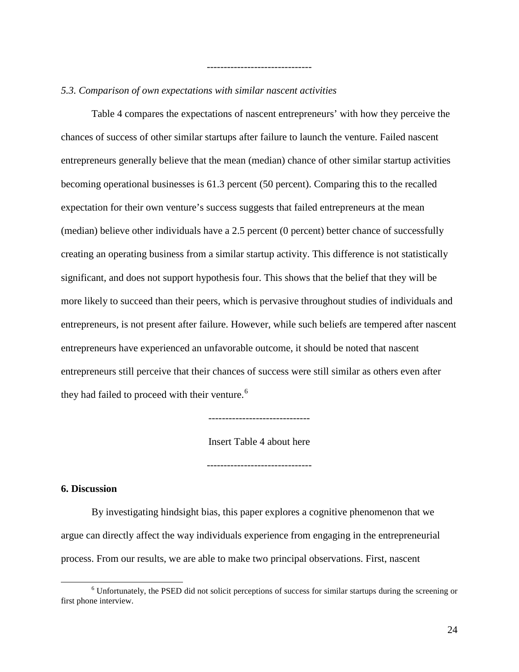## *5.3. Comparison of own expectations with similar nascent activities*

Table 4 compares the expectations of nascent entrepreneurs' with how they perceive the chances of success of other similar startups after failure to launch the venture. Failed nascent entrepreneurs generally believe that the mean (median) chance of other similar startup activities becoming operational businesses is 61.3 percent (50 percent). Comparing this to the recalled expectation for their own venture's success suggests that failed entrepreneurs at the mean (median) believe other individuals have a 2.5 percent (0 percent) better chance of successfully creating an operating business from a similar startup activity. This difference is not statistically significant, and does not support hypothesis four. This shows that the belief that they will be more likely to succeed than their peers, which is pervasive throughout studies of individuals and entrepreneurs, is not present after failure. However, while such beliefs are tempered after nascent entrepreneurs have experienced an unfavorable outcome, it should be noted that nascent entrepreneurs still perceive that their chances of success were still similar as others even after they had failed to proceed with their venture.<sup>[6](#page-24-0)</sup>

-------------------------------

------------------------------

Insert Table 4 about here

-------------------------------

## **6. Discussion**

By investigating hindsight bias, this paper explores a cognitive phenomenon that we argue can directly affect the way individuals experience from engaging in the entrepreneurial process. From our results, we are able to make two principal observations. First, nascent

<span id="page-24-0"></span> <sup>6</sup> Unfortunately, the PSED did not solicit perceptions of success for similar startups during the screening or first phone interview.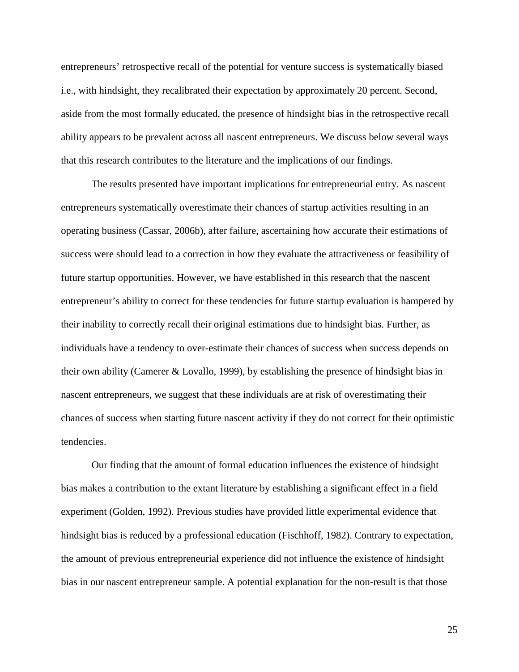entrepreneurs' retrospective recall of the potential for venture success is systematically biased i.e., with hindsight, they recalibrated their expectation by approximately 20 percent. Second, aside from the most formally educated, the presence of hindsight bias in the retrospective recall ability appears to be prevalent across all nascent entrepreneurs. We discuss below several ways that this research contributes to the literature and the implications of our findings.

The results presented have important implications for entrepreneurial entry. As nascent entrepreneurs systematically overestimate their chances of startup activities resulting in an operating business (Cassar, 2006b), after failure, ascertaining how accurate their estimations of success were should lead to a correction in how they evaluate the attractiveness or feasibility of future startup opportunities. However, we have established in this research that the nascent entrepreneur's ability to correct for these tendencies for future startup evaluation is hampered by their inability to correctly recall their original estimations due to hindsight bias. Further, as individuals have a tendency to over-estimate their chances of success when success depends on their own ability (Camerer & Lovallo, 1999), by establishing the presence of hindsight bias in nascent entrepreneurs, we suggest that these individuals are at risk of overestimating their chances of success when starting future nascent activity if they do not correct for their optimistic tendencies.

Our finding that the amount of formal education influences the existence of hindsight bias makes a contribution to the extant literature by establishing a significant effect in a field experiment (Golden, 1992). Previous studies have provided little experimental evidence that hindsight bias is reduced by a professional education (Fischhoff, 1982). Contrary to expectation, the amount of previous entrepreneurial experience did not influence the existence of hindsight bias in our nascent entrepreneur sample. A potential explanation for the non-result is that those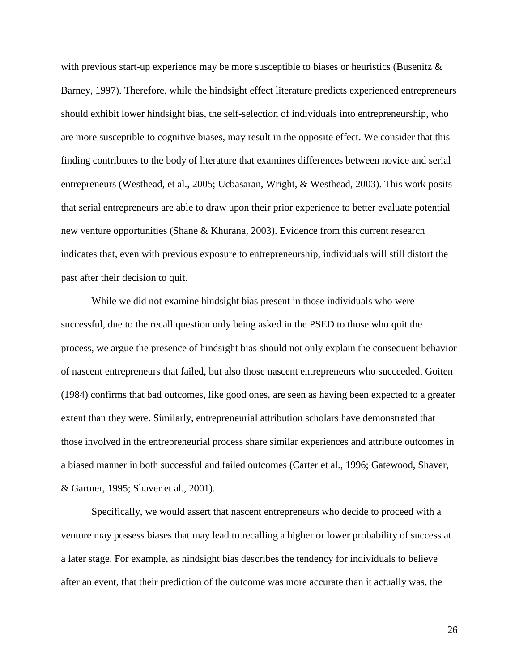with previous start-up experience may be more susceptible to biases or heuristics (Busenitz  $\&$ Barney, 1997). Therefore, while the hindsight effect literature predicts experienced entrepreneurs should exhibit lower hindsight bias, the self-selection of individuals into entrepreneurship, who are more susceptible to cognitive biases, may result in the opposite effect. We consider that this finding contributes to the body of literature that examines differences between novice and serial entrepreneurs (Westhead, et al., 2005; Ucbasaran, Wright, & Westhead, 2003). This work posits that serial entrepreneurs are able to draw upon their prior experience to better evaluate potential new venture opportunities (Shane & Khurana, 2003). Evidence from this current research indicates that, even with previous exposure to entrepreneurship, individuals will still distort the past after their decision to quit.

While we did not examine hindsight bias present in those individuals who were successful, due to the recall question only being asked in the PSED to those who quit the process, we argue the presence of hindsight bias should not only explain the consequent behavior of nascent entrepreneurs that failed, but also those nascent entrepreneurs who succeeded. Goiten (1984) confirms that bad outcomes, like good ones, are seen as having been expected to a greater extent than they were. Similarly, entrepreneurial attribution scholars have demonstrated that those involved in the entrepreneurial process share similar experiences and attribute outcomes in a biased manner in both successful and failed outcomes (Carter et al., 1996; Gatewood, Shaver, & Gartner, 1995; Shaver et al., 2001).

Specifically, we would assert that nascent entrepreneurs who decide to proceed with a venture may possess biases that may lead to recalling a higher or lower probability of success at a later stage. For example, as hindsight bias describes the tendency for individuals to believe after an event, that their prediction of the outcome was more accurate than it actually was, the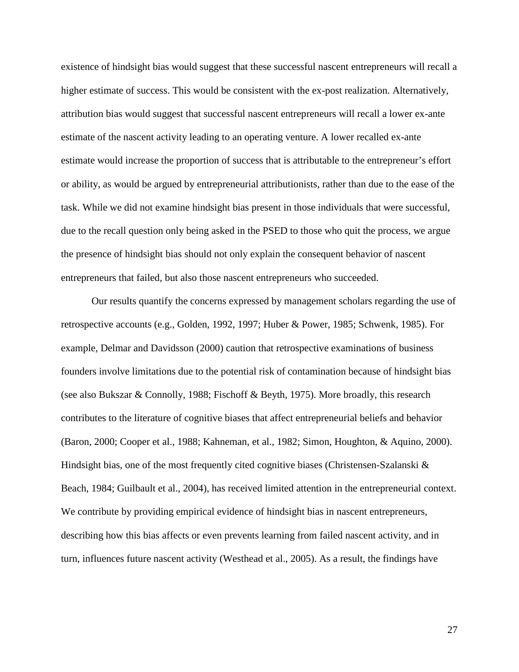existence of hindsight bias would suggest that these successful nascent entrepreneurs will recall a higher estimate of success. This would be consistent with the ex-post realization. Alternatively, attribution bias would suggest that successful nascent entrepreneurs will recall a lower ex-ante estimate of the nascent activity leading to an operating venture. A lower recalled ex-ante estimate would increase the proportion of success that is attributable to the entrepreneur's effort or ability, as would be argued by entrepreneurial attributionists, rather than due to the ease of the task. While we did not examine hindsight bias present in those individuals that were successful, due to the recall question only being asked in the PSED to those who quit the process, we argue the presence of hindsight bias should not only explain the consequent behavior of nascent entrepreneurs that failed, but also those nascent entrepreneurs who succeeded.

Our results quantify the concerns expressed by management scholars regarding the use of retrospective accounts (e.g., Golden, 1992, 1997; Huber & Power, 1985; Schwenk, 1985). For example, Delmar and Davidsson (2000) caution that retrospective examinations of business founders involve limitations due to the potential risk of contamination because of hindsight bias (see also Bukszar & Connolly, 1988; Fischoff & Beyth, 1975). More broadly, this research contributes to the literature of cognitive biases that affect entrepreneurial beliefs and behavior (Baron, 2000; Cooper et al., 1988; Kahneman, et al., 1982; Simon, Houghton, & Aquino, 2000). Hindsight bias, one of the most frequently cited cognitive biases (Christensen-Szalanski  $\&$ Beach, 1984; Guilbault et al., 2004), has received limited attention in the entrepreneurial context. We contribute by providing empirical evidence of hindsight bias in nascent entrepreneurs, describing how this bias affects or even prevents learning from failed nascent activity, and in turn, influences future nascent activity (Westhead et al., 2005). As a result, the findings have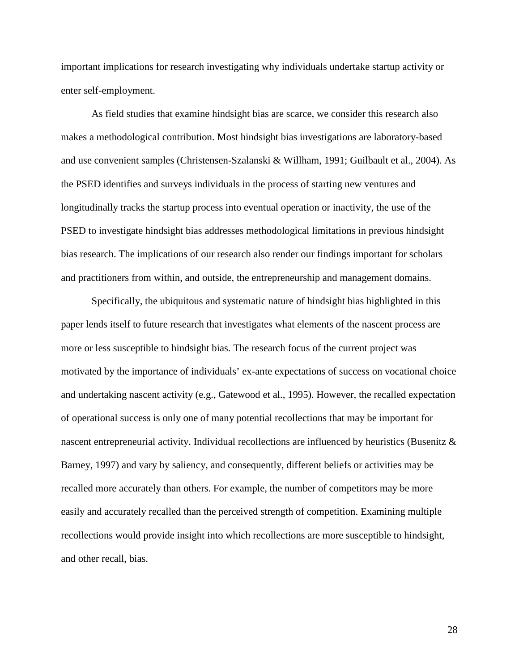important implications for research investigating why individuals undertake startup activity or enter self-employment.

As field studies that examine hindsight bias are scarce, we consider this research also makes a methodological contribution. Most hindsight bias investigations are laboratory-based and use convenient samples (Christensen-Szalanski & Willham, 1991; Guilbault et al., 2004). As the PSED identifies and surveys individuals in the process of starting new ventures and longitudinally tracks the startup process into eventual operation or inactivity, the use of the PSED to investigate hindsight bias addresses methodological limitations in previous hindsight bias research. The implications of our research also render our findings important for scholars and practitioners from within, and outside, the entrepreneurship and management domains.

Specifically, the ubiquitous and systematic nature of hindsight bias highlighted in this paper lends itself to future research that investigates what elements of the nascent process are more or less susceptible to hindsight bias. The research focus of the current project was motivated by the importance of individuals' ex-ante expectations of success on vocational choice and undertaking nascent activity (e.g., Gatewood et al., 1995). However, the recalled expectation of operational success is only one of many potential recollections that may be important for nascent entrepreneurial activity. Individual recollections are influenced by heuristics (Busenitz & Barney, 1997) and vary by saliency, and consequently, different beliefs or activities may be recalled more accurately than others. For example, the number of competitors may be more easily and accurately recalled than the perceived strength of competition. Examining multiple recollections would provide insight into which recollections are more susceptible to hindsight, and other recall, bias.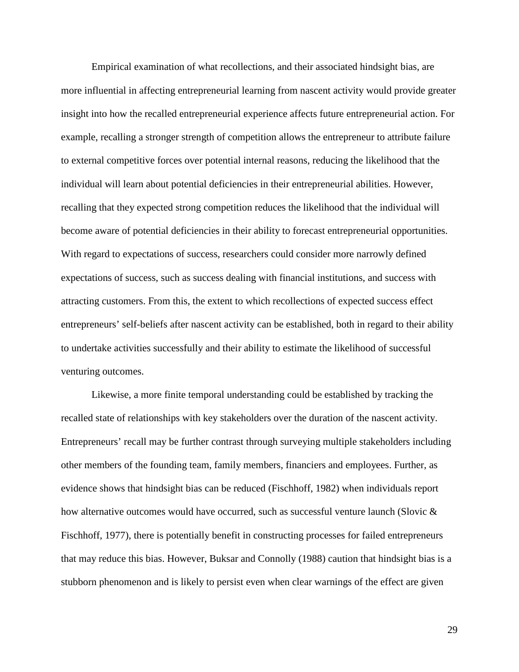Empirical examination of what recollections, and their associated hindsight bias, are more influential in affecting entrepreneurial learning from nascent activity would provide greater insight into how the recalled entrepreneurial experience affects future entrepreneurial action. For example, recalling a stronger strength of competition allows the entrepreneur to attribute failure to external competitive forces over potential internal reasons, reducing the likelihood that the individual will learn about potential deficiencies in their entrepreneurial abilities. However, recalling that they expected strong competition reduces the likelihood that the individual will become aware of potential deficiencies in their ability to forecast entrepreneurial opportunities. With regard to expectations of success, researchers could consider more narrowly defined expectations of success, such as success dealing with financial institutions, and success with attracting customers. From this, the extent to which recollections of expected success effect entrepreneurs' self-beliefs after nascent activity can be established, both in regard to their ability to undertake activities successfully and their ability to estimate the likelihood of successful venturing outcomes.

Likewise, a more finite temporal understanding could be established by tracking the recalled state of relationships with key stakeholders over the duration of the nascent activity. Entrepreneurs' recall may be further contrast through surveying multiple stakeholders including other members of the founding team, family members, financiers and employees. Further, as evidence shows that hindsight bias can be reduced (Fischhoff, 1982) when individuals report how alternative outcomes would have occurred, such as successful venture launch (Slovic & Fischhoff, 1977), there is potentially benefit in constructing processes for failed entrepreneurs that may reduce this bias. However, Buksar and Connolly (1988) caution that hindsight bias is a stubborn phenomenon and is likely to persist even when clear warnings of the effect are given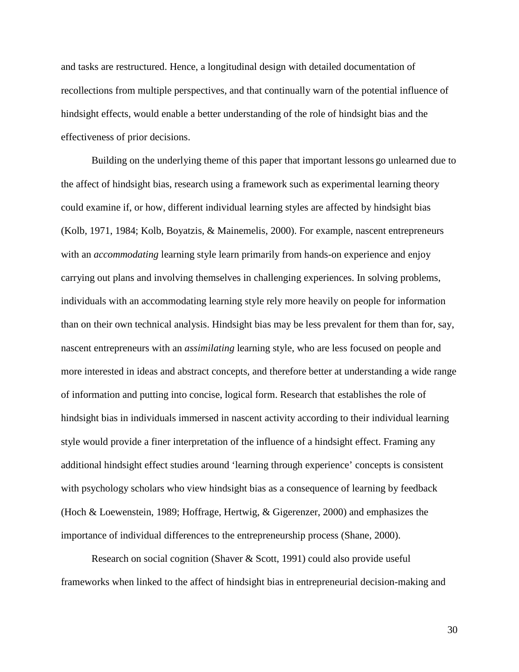and tasks are restructured. Hence, a longitudinal design with detailed documentation of recollections from multiple perspectives, and that continually warn of the potential influence of hindsight effects, would enable a better understanding of the role of hindsight bias and the effectiveness of prior decisions.

Building on the underlying theme of this paper that important lessons go unlearned due to the affect of hindsight bias, research using a framework such as experimental learning theory could examine if, or how, different individual learning styles are affected by hindsight bias (Kolb, 1971, 1984; Kolb, Boyatzis, & Mainemelis, 2000). For example, nascent entrepreneurs with an *accommodating* learning style learn primarily from hands-on experience and enjoy carrying out plans and involving themselves in challenging experiences. In solving problems, individuals with an accommodating learning style rely more heavily on people for information than on their own technical analysis. Hindsight bias may be less prevalent for them than for, say, nascent entrepreneurs with an *assimilating* learning style, who are less focused on people and more interested in ideas and abstract concepts, and therefore better at understanding a wide range of information and putting into concise, logical form. Research that establishes the role of hindsight bias in individuals immersed in nascent activity according to their individual learning style would provide a finer interpretation of the influence of a hindsight effect. Framing any additional hindsight effect studies around 'learning through experience' concepts is consistent with psychology scholars who view hindsight bias as a consequence of learning by feedback (Hoch & Loewenstein, 1989; Hoffrage, Hertwig, & Gigerenzer, 2000) and emphasizes the importance of individual differences to the entrepreneurship process (Shane, 2000).

Research on social cognition (Shaver & Scott, 1991) could also provide useful frameworks when linked to the affect of hindsight bias in entrepreneurial decision-making and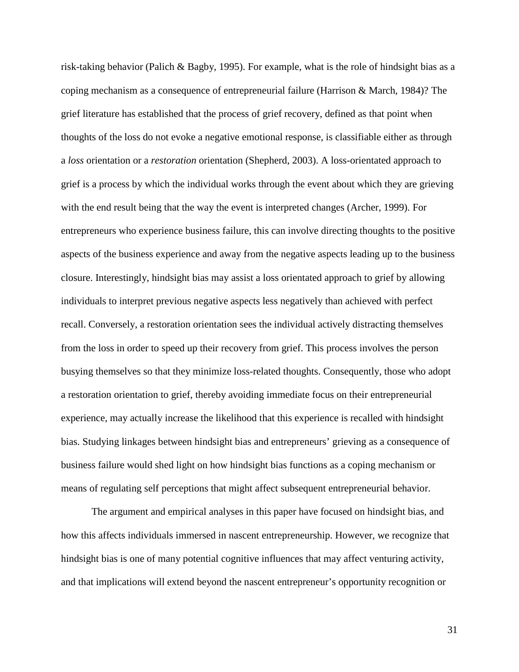risk-taking behavior (Palich & Bagby, 1995). For example, what is the role of hindsight bias as a coping mechanism as a consequence of entrepreneurial failure (Harrison & March, 1984)? The grief literature has established that the process of grief recovery, defined as that point when thoughts of the loss do not evoke a negative emotional response, is classifiable either as through a *loss* orientation or a *restoration* orientation (Shepherd, 2003). A loss-orientated approach to grief is a process by which the individual works through the event about which they are grieving with the end result being that the way the event is interpreted changes (Archer, 1999). For entrepreneurs who experience business failure, this can involve directing thoughts to the positive aspects of the business experience and away from the negative aspects leading up to the business closure. Interestingly, hindsight bias may assist a loss orientated approach to grief by allowing individuals to interpret previous negative aspects less negatively than achieved with perfect recall. Conversely, a restoration orientation sees the individual actively distracting themselves from the loss in order to speed up their recovery from grief. This process involves the person busying themselves so that they minimize loss-related thoughts. Consequently, those who adopt a restoration orientation to grief, thereby avoiding immediate focus on their entrepreneurial experience, may actually increase the likelihood that this experience is recalled with hindsight bias. Studying linkages between hindsight bias and entrepreneurs' grieving as a consequence of business failure would shed light on how hindsight bias functions as a coping mechanism or means of regulating self perceptions that might affect subsequent entrepreneurial behavior.

The argument and empirical analyses in this paper have focused on hindsight bias, and how this affects individuals immersed in nascent entrepreneurship. However, we recognize that hindsight bias is one of many potential cognitive influences that may affect venturing activity, and that implications will extend beyond the nascent entrepreneur's opportunity recognition or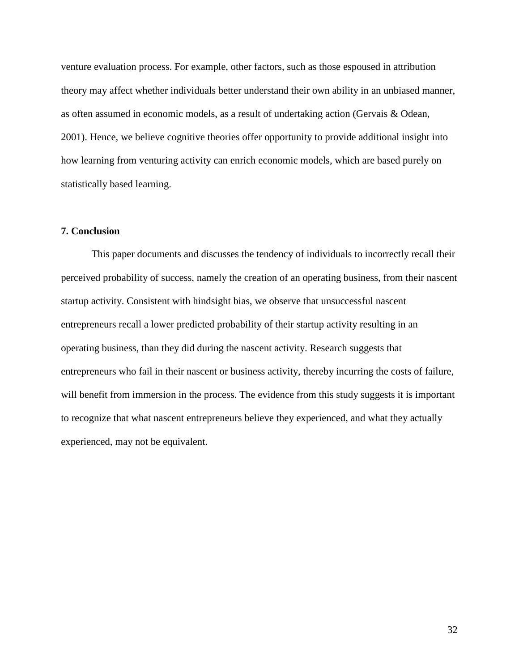venture evaluation process. For example, other factors, such as those espoused in attribution theory may affect whether individuals better understand their own ability in an unbiased manner, as often assumed in economic models, as a result of undertaking action (Gervais & Odean, 2001). Hence, we believe cognitive theories offer opportunity to provide additional insight into how learning from venturing activity can enrich economic models, which are based purely on statistically based learning.

## **7. Conclusion**

This paper documents and discusses the tendency of individuals to incorrectly recall their perceived probability of success, namely the creation of an operating business, from their nascent startup activity. Consistent with hindsight bias, we observe that unsuccessful nascent entrepreneurs recall a lower predicted probability of their startup activity resulting in an operating business, than they did during the nascent activity. Research suggests that entrepreneurs who fail in their nascent or business activity, thereby incurring the costs of failure, will benefit from immersion in the process. The evidence from this study suggests it is important to recognize that what nascent entrepreneurs believe they experienced, and what they actually experienced, may not be equivalent.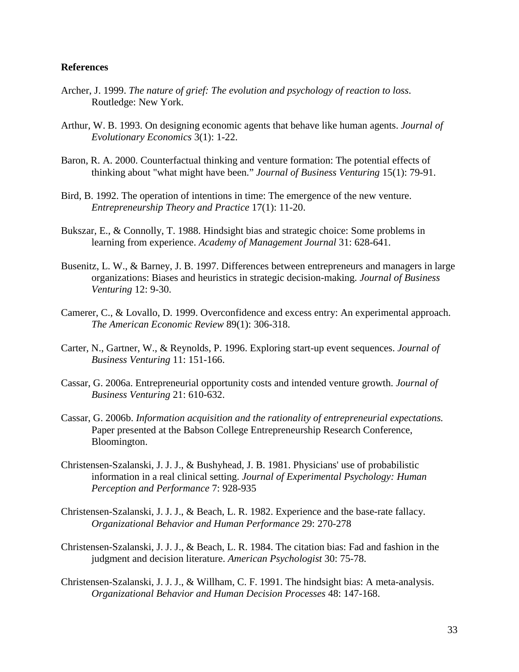## **References**

- Archer, J. 1999. *The nature of grief: The evolution and psychology of reaction to loss*. Routledge: New York.
- Arthur, W. B. 1993. On designing economic agents that behave like human agents. *Journal of Evolutionary Economics* 3(1): 1-22.
- Baron, R. A. 2000. Counterfactual thinking and venture formation: The potential effects of thinking about "what might have been." *Journal of Business Venturing* 15(1): 79-91.
- Bird, B. 1992. The operation of intentions in time: The emergence of the new venture. *Entrepreneurship Theory and Practice* 17(1): 11-20.
- Bukszar, E., & Connolly, T. 1988. Hindsight bias and strategic choice: Some problems in learning from experience. *Academy of Management Journal* 31: 628-641.
- Busenitz, L. W., & Barney, J. B. 1997. Differences between entrepreneurs and managers in large organizations: Biases and heuristics in strategic decision-making. *Journal of Business Venturing* 12: 9-30.
- Camerer, C., & Lovallo, D. 1999. Overconfidence and excess entry: An experimental approach. *The American Economic Review* 89(1): 306-318.
- Carter, N., Gartner, W., & Reynolds, P. 1996. Exploring start-up event sequences. *Journal of Business Venturing* 11: 151-166.
- Cassar, G. 2006a. Entrepreneurial opportunity costs and intended venture growth. *Journal of Business Venturing* 21: 610-632.
- Cassar, G. 2006b. *Information acquisition and the rationality of entrepreneurial expectations.* Paper presented at the Babson College Entrepreneurship Research Conference, Bloomington.
- Christensen-Szalanski, J. J. J., & Bushyhead, J. B. 1981. Physicians' use of probabilistic information in a real clinical setting. *Journal of Experimental Psychology: Human Perception and Performance* 7: 928-935
- Christensen-Szalanski, J. J. J., & Beach, L. R. 1982. Experience and the base-rate fallacy. *Organizational Behavior and Human Performance* 29: 270-278
- Christensen-Szalanski, J. J. J., & Beach, L. R. 1984. The citation bias: Fad and fashion in the judgment and decision literature. *American Psychologist* 30: 75-78.
- Christensen-Szalanski, J. J. J., & Willham, C. F. 1991. The hindsight bias: A meta-analysis. *Organizational Behavior and Human Decision Processes* 48: 147-168.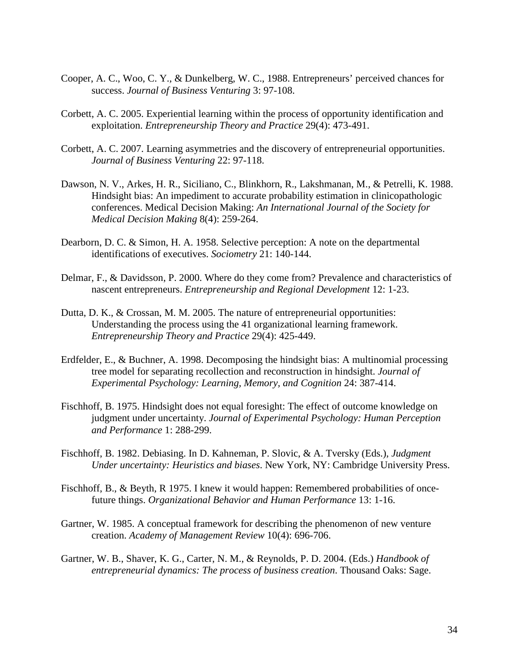- Cooper, A. C., Woo, C. Y., & Dunkelberg, W. C., 1988. Entrepreneurs' perceived chances for success. *Journal of Business Venturing* 3: 97-108.
- Corbett, A. C. 2005. Experiential learning within the process of opportunity identification and exploitation. *Entrepreneurship Theory and Practice* 29(4): 473-491.
- Corbett, A. C. 2007. Learning asymmetries and the discovery of entrepreneurial opportunities. *Journal of Business Venturing* 22: 97-118.
- Dawson, N. V., Arkes, H. R., Siciliano, C., Blinkhorn, R., Lakshmanan, M., & Petrelli, K. 1988. Hindsight bias: An impediment to accurate probability estimation in clinicopathologic conferences. Medical Decision Making: *An International Journal of the Society for Medical Decision Making* 8(4): 259-264.
- Dearborn, D. C. & Simon, H. A. 1958. Selective perception: A note on the departmental identifications of executives. *Sociometry* 21: 140-144.
- Delmar, F., & Davidsson, P. 2000. Where do they come from? Prevalence and characteristics of nascent entrepreneurs. *Entrepreneurship and Regional Development* 12: 1-23.
- Dutta, D. K., & Crossan, M. M. 2005. The nature of entrepreneurial opportunities: Understanding the process using the 41 organizational learning framework. *Entrepreneurship Theory and Practice* 29(4): 425-449.
- Erdfelder, E., & Buchner, A. 1998. Decomposing the hindsight bias: A multinomial processing tree model for separating recollection and reconstruction in hindsight. *Journal of Experimental Psychology: Learning, Memory, and Cognition* 24: 387-414.
- Fischhoff, B. 1975. Hindsight does not equal foresight: The effect of outcome knowledge on judgment under uncertainty. *Journal of Experimental Psychology: Human Perception and Performance* 1: 288-299.
- Fischhoff, B. 1982. Debiasing. In D. Kahneman, P. Slovic, & A. Tversky (Eds.), *Judgment Under uncertainty: Heuristics and biases*. New York, NY: Cambridge University Press.
- Fischhoff, B., & Beyth, R 1975. I knew it would happen: Remembered probabilities of oncefuture things. *Organizational Behavior and Human Performance* 13: 1-16.
- Gartner, W. 1985. A conceptual framework for describing the phenomenon of new venture creation. *Academy of Management Review* 10(4): 696-706.
- Gartner, W. B., Shaver, K. G., Carter, N. M., & Reynolds, P. D. 2004. (Eds.) *Handbook of entrepreneurial dynamics: The process of business creation*. Thousand Oaks: Sage.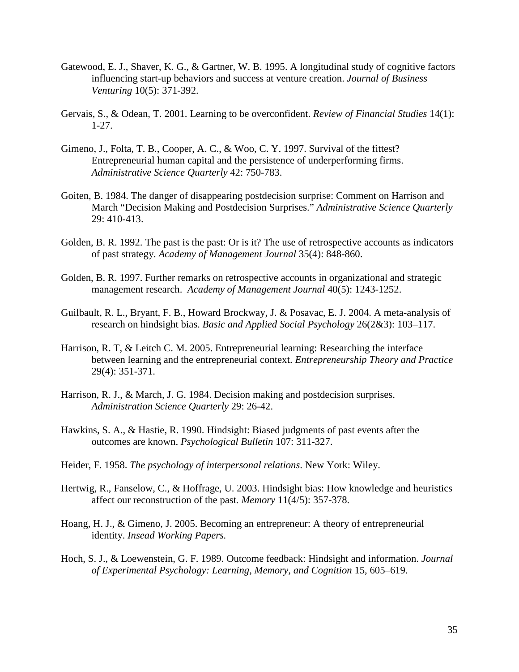- Gatewood, E. J., Shaver, K. G., & Gartner, W. B. 1995. A longitudinal study of cognitive factors influencing start-up behaviors and success at venture creation. *Journal of Business Venturing* 10(5): 371-392.
- Gervais, S., & Odean, T. 2001. Learning to be overconfident. *Review of Financial Studies* 14(1): 1-27.
- Gimeno, J., Folta, T. B., Cooper, A. C., & Woo, C. Y. 1997. Survival of the fittest? Entrepreneurial human capital and the persistence of underperforming firms. *Administrative Science Quarterly* 42: 750-783.
- Goiten, B. 1984. The danger of disappearing postdecision surprise: Comment on Harrison and March "Decision Making and Postdecision Surprises." *Administrative Science Quarterly* 29: 410-413.
- Golden, B. R. 1992. The past is the past: Or is it? The use of retrospective accounts as indicators of past strategy. *Academy of Management Journal* 35(4): 848-860.
- Golden, B. R. 1997. Further remarks on retrospective accounts in organizational and strategic management research. *Academy of Management Journal* 40(5): 1243-1252.
- Guilbault, R. L., Bryant, F. B., Howard Brockway, J. & Posavac, E. J. 2004. A meta-analysis of research on hindsight bias. *Basic and Applied Social Psychology* 26(2&3): 103–117.
- Harrison, R. T, & Leitch C. M. 2005. Entrepreneurial learning: Researching the interface between learning and the entrepreneurial context. *Entrepreneurship Theory and Practice* 29(4): 351-371.
- Harrison, R. J., & March, J. G. 1984. Decision making and postdecision surprises. *Administration Science Quarterly* 29: 26-42.
- Hawkins, S. A., & Hastie, R. 1990. Hindsight: Biased judgments of past events after the outcomes are known. *Psychological Bulletin* 107: 311-327.
- Heider, F. 1958. *The psychology of interpersonal relations*. New York: Wiley.
- [Hertwig, R.](http://0-web4.epnet.com.oasis.oregonstate.edu/searchpost.asp?tb=1&_ua=shn+1+F5EF&_ug=sid+691A2D34%2D3DE7%2D4C08%2DAE35%2D05E4266CD95F%40sessionmgr5+dbs+aph%2Cbuh+cp+1+F4F2&_us=frn+1+hd+False+hs+False+or+Date+fh+False+ss+SO+sm+ES+sl+%2D1+dstb+ES+mh+1+ri+KAAACBYA00043439+16AA&_uso=hd+False+tg%5B2+%2D+tg%5B1+%2D+tg%5B0+%2D+st%5B2+%2D+st%5B1+%2DWillham+st%5B0+%2DChristensen%2DSzalanski+db%5B1+%2Dbuh+db%5B0+%2Daph+op%5B2+%2DAnd+op%5B1+%2DAnd+op%5B0+%2D+B9F9&ss=AR%20%22Hertwig%2C%20Ralph%22&fscan=Sub&lfr=Lateral&), [Fanselow, C.](http://0-web4.epnet.com.oasis.oregonstate.edu/searchpost.asp?tb=1&_ua=shn+1+F5EF&_ug=sid+691A2D34%2D3DE7%2D4C08%2DAE35%2D05E4266CD95F%40sessionmgr5+dbs+aph%2Cbuh+cp+1+F4F2&_us=frn+1+hd+False+hs+False+or+Date+fh+False+ss+SO+sm+ES+sl+%2D1+dstb+ES+mh+1+ri+KAAACBYA00043439+16AA&_uso=hd+False+tg%5B2+%2D+tg%5B1+%2D+tg%5B0+%2D+st%5B2+%2D+st%5B1+%2DWillham+st%5B0+%2DChristensen%2DSzalanski+db%5B1+%2Dbuh+db%5B0+%2Daph+op%5B2+%2DAnd+op%5B1+%2DAnd+op%5B0+%2D+B9F9&ss=AR%20%22Fanselow%2C%20Carola%22&fscan=Sub&lfr=Lateral&), & [Hoffrage, U.](http://0-web4.epnet.com.oasis.oregonstate.edu/searchpost.asp?tb=1&_ua=shn+1+F5EF&_ug=sid+691A2D34%2D3DE7%2D4C08%2DAE35%2D05E4266CD95F%40sessionmgr5+dbs+aph%2Cbuh+cp+1+F4F2&_us=frn+1+hd+False+hs+False+or+Date+fh+False+ss+SO+sm+ES+sl+%2D1+dstb+ES+mh+1+ri+KAAACBYA00043439+16AA&_uso=hd+False+tg%5B2+%2D+tg%5B1+%2D+tg%5B0+%2D+st%5B2+%2D+st%5B1+%2DWillham+st%5B0+%2DChristensen%2DSzalanski+db%5B1+%2Dbuh+db%5B0+%2Daph+op%5B2+%2DAnd+op%5B1+%2DAnd+op%5B0+%2D+B9F9&ss=AR%20%22Hoffrage%2C%20Ulrich%22&fscan=Sub&lfr=Lateral&) 2003. Hindsight bias: How knowledge and heuristics affect our reconstruction of the past*. [Memory](http://0-web4.epnet.com.oasis.oregonstate.edu/authHjafDetail.asp?tb=1&_ua=shn+1+F5EF&_ug=sid+691A2D34%2D3DE7%2D4C08%2DAE35%2D05E4266CD95F%40sessionmgr5+dbs+aph%2Cbuh+cp+1+F4F2&_us=frn+1+hd+False+hs+False+or+Date+fh+False+ss+SO+sm+ES+sl+%2D1+dstb+ES+mh+1+ri+KAAACBYA00043439+16AA&_uso=hd+False+tg%5B2+%2D+tg%5B1+%2D+tg%5B0+%2D+st%5B2+%2D+st%5B1+%2DWillham+st%5B0+%2DChristensen%2DSzalanski+db%5B1+%2Dbuh+db%5B0+%2Daph+op%5B2+%2DAnd+op%5B1+%2DAnd+op%5B0+%2D+B9F9&db=aphjnh&bs=JN%20%22Memory%22&fc=T)* 11(4/5): 357-378.
- Hoang, H. J., & Gimeno, J. 2005. Becoming an entrepreneur: A theory of entrepreneurial identity. *Insead Working Papers.*
- Hoch, S. J., & Loewenstein, G. F. 1989. Outcome feedback: Hindsight and information. *Journal of Experimental Psychology: Learning, Memory, and Cognition* 15, 605–619.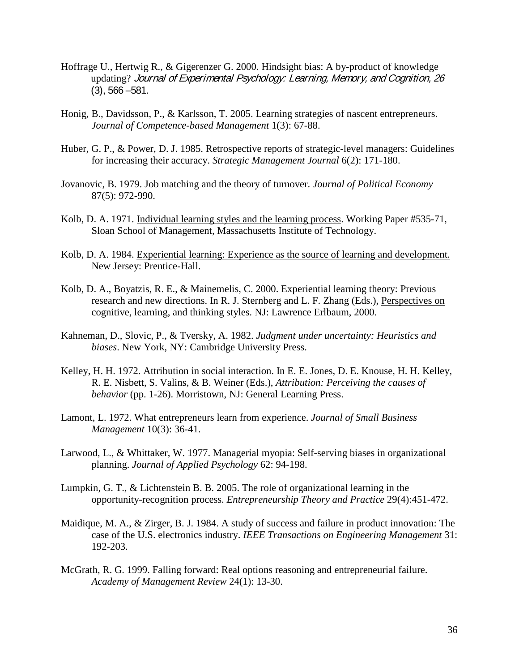- Hoffrage U., Hertwig R., & Gigerenzer G. 2000. Hindsight bias: A by-product of knowledge updating? Journal of Experimental Psychology: Learning, Memory, and Cognition, 26 (3), 566 –581.
- Honig, B., Davidsson, P., & Karlsson, T. 2005. Learning strategies of nascent entrepreneurs. *Journal of Competence-based Management* 1(3): 67-88.
- Huber, G. P., & Power, D. J. 1985. Retrospective reports of strategic-level managers: Guidelines for increasing their accuracy. *Strategic Management Journal* 6(2): 171-180.
- Jovanovic, B. 1979. Job matching and the theory of turnover. *Journal of Political Economy* 87(5): 972-990.
- Kolb, D. A. 1971. Individual learning styles and the learning process. Working Paper #535-71, Sloan School of Management, Massachusetts Institute of Technology.
- Kolb, D. A. 1984. Experiential learning: Experience as the source of learning and development. New Jersey: Prentice-Hall.
- Kolb, D. A., Boyatzis, R. E., & Mainemelis, C. 2000. Experiential learning theory: Previous research and new directions. In R. J. Sternberg and L. F. Zhang (Eds.), Perspectives on cognitive, learning, and thinking styles . NJ: Lawrence Erlbaum, 2000.
- Kahneman, D., Slovic, P., & Tversky, A. 1982. *Judgment under uncertainty: Heuristics and biases*. New York, NY: Cambridge University Press.
- Kelley, H. H. 1972. Attribution in social interaction. In E. E. Jones, D. E. Knouse, H. H. Kelley, R. E. Nisbett, S. Valins, & B. Weiner (Eds.), *Attribution: Perceiving the causes of behavior* (pp. 1-26). Morristown, NJ: General Learning Press.
- Lamont, L. 1972. What entrepreneurs learn from experience. *Journal of Small Business Management* 10(3): 36-41.
- Larwood, L., & Whittaker, W. 1977. Managerial myopia: Self-serving biases in organizational planning. *Journal of Applied Psychology* 62: 94-198.
- Lumpkin, G. T., & Lichtenstein B. B. 2005. The role of organizational learning in the opportunity-recognition process. *Entrepreneurship Theory and Practice* 29(4):451-472.
- Maidique, M. A., & Zirger, B. J. 1984. A study of success and failure in product innovation: The case of the U.S. electronics industry. *IEEE Transactions on Engineering Management* 31: 192-203.
- McGrath, R. G. 1999. Falling forward: Real options reasoning and entrepreneurial failure. *Academy of Management Review* 24(1): 13-30.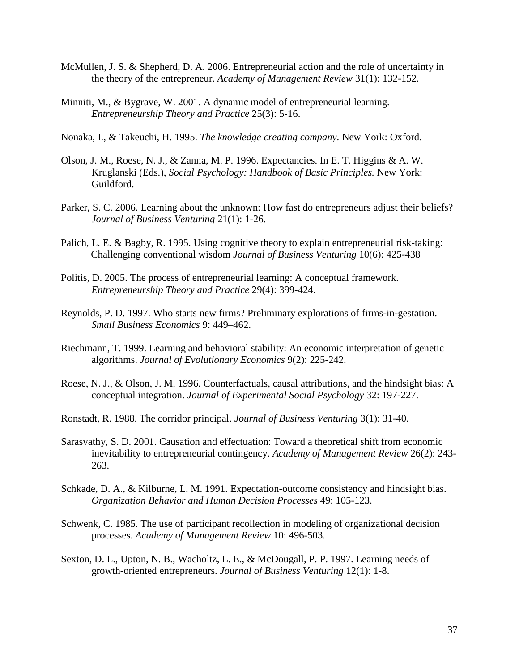- McMullen, J. S. & Shepherd, D. A. 2006. Entrepreneurial action and the role of uncertainty in the theory of the entrepreneur. *Academy of Management Review* 31(1): 132-152.
- Minniti, M., & Bygrave, W. 2001. A dynamic model of entrepreneurial learning. *Entrepreneurship Theory and Practice* 25(3): 5-16.
- Nonaka, I., & Takeuchi, H. 1995. *The knowledge creating company*. New York: Oxford.
- Olson, J. M., Roese, N. J., & Zanna, M. P. 1996. Expectancies. In E. T. Higgins & A. W. Kruglanski (Eds.), *Social Psychology: Handbook of Basic Principles.* New York: Guildford.
- Parker, S. C. 2006. Learning about the unknown: How fast do entrepreneurs adjust their beliefs? *Journal of Business Venturing* 21(1): 1-26.
- Palich, L. E. & Bagby, R. 1995. Using cognitive theory to explain entrepreneurial risk-taking: Challenging conventional wisdom *Journal of Business Venturing* 10(6): 425-438
- Politis, D. 2005. The process of entrepreneurial learning: A conceptual framework. *Entrepreneurship Theory and Practice* 29(4): 399-424.
- Reynolds, P. D. 1997. Who starts new firms? Preliminary explorations of firms-in-gestation. *Small Business Economics* 9: 449–462.
- Riechmann, T. 1999. Learning and behavioral stability: An economic interpretation of genetic algorithms. *Journal of Evolutionary Economics* 9(2): 225-242.
- Roese, N. J., & Olson, J. M. 1996. Counterfactuals, causal attributions, and the hindsight bias: A conceptual integration. *Journal of Experimental Social Psychology* 32: 197-227.
- Ronstadt, R. 1988. The corridor principal. *Journal of Business Venturing* 3(1): 31-40.
- Sarasvathy, S. D. 2001. Causation and effectuation: Toward a theoretical shift from economic inevitability to entrepreneurial contingency. *Academy of Management Review* 26(2): 243- 263.
- Schkade, D. A., & Kilburne, L. M. 1991. Expectation-outcome consistency and hindsight bias. *Organization Behavior and Human Decision Processes* 49: 105-123.
- Schwenk, C. 1985. The use of participant recollection in modeling of organizational decision processes. *Academy of Management Review* 10: 496-503.
- Sexton, D. L., Upton, N. B., Wacholtz, L. E., & McDougall, P. P. 1997. Learning needs of growth-oriented entrepreneurs. *Journal of Business Venturing* 12(1): 1-8.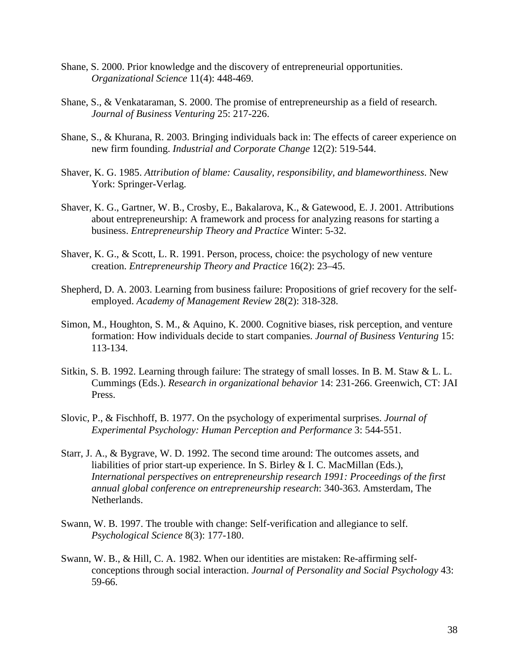- Shane, S. 2000. Prior knowledge and the discovery of entrepreneurial opportunities. *Organizational Science* 11(4): 448-469.
- Shane, S., & Venkataraman, S. 2000. The promise of entrepreneurship as a field of research. *Journal of Business Venturing* 25: 217-226.
- Shane, S., & Khurana, R. 2003. Bringing individuals back in: The effects of career experience on new firm founding. *Industrial and Corporate Change* 12(2): 519-544.
- Shaver, K. G. 1985. *Attribution of blame: Causality, responsibility, and blameworthiness*. New York: Springer-Verlag.
- Shaver, K. G., Gartner, W. B., Crosby, E., Bakalarova, K., & Gatewood, E. J. 2001. Attributions about entrepreneurship: A framework and process for analyzing reasons for starting a business. *Entrepreneurship Theory and Practice* Winter: 5-32.
- Shaver, K. G., & Scott, L. R. 1991. Person, process, choice: the psychology of new venture creation. *Entrepreneurship Theory and Practice* 16(2): 23–45.
- Shepherd, D. A. 2003. Learning from business failure: Propositions of grief recovery for the selfemployed. *Academy of Management Review* 28(2): 318-328.
- Simon, M., Houghton, S. M., & Aquino, K. 2000. Cognitive biases, risk perception, and venture formation: How individuals decide to start companies. *Journal of Business Venturing* 15: 113-134.
- Sitkin, S. B. 1992. Learning through failure: The strategy of small losses. In B. M. Staw & L. L. Cummings (Eds.). *Research in organizational behavior* 14: 231-266. Greenwich, CT: JAI Press.
- Slovic, P., & Fischhoff, B. 1977. On the psychology of experimental surprises. *Journal of Experimental Psychology: Human Perception and Performance* 3: 544-551.
- Starr, J. A., & Bygrave, W. D. 1992. The second time around: The outcomes assets, and liabilities of prior start-up experience. In S. Birley & I. C. MacMillan (Eds.), *International perspectives on entrepreneurship research 1991: Proceedings of the first annual global conference on entrepreneurship research*: 340-363. Amsterdam, The Netherlands.
- Swann, W. B. 1997. The trouble with change: Self-verification and allegiance to self. *Psychological Science* 8(3): 177-180.
- Swann, W. B., & Hill, C. A. 1982. When our identities are mistaken: Re-affirming selfconceptions through social interaction. *Journal of Personality and Social Psychology* 43: 59-66.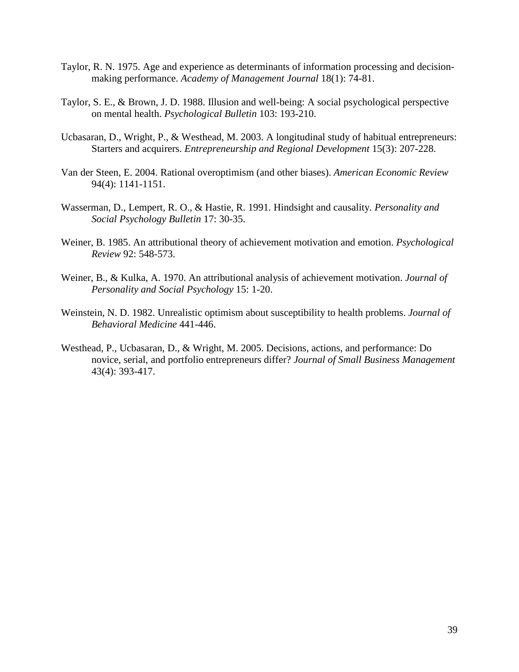- Taylor, R. N. 1975. Age and experience as determinants of information processing and decisionmaking performance. *Academy of Management Journal* 18(1): 74-81.
- Taylor, S. E., & Brown, J. D. 1988. Illusion and well-being: A social psychological perspective on mental health. *Psychological Bulletin* 103: 193-210.
- Ucbasaran, D., Wright, P., & Westhead, M. 2003. A longitudinal study of habitual entrepreneurs: Starters and acquirers. *Entrepreneurship and Regional Development* 15(3): 207-228.
- Van der Steen, E. 2004. Rational overoptimism (and other biases). *American Economic Review* 94(4): 1141-1151.
- Wasserman, D., Lempert, R. O., & Hastie, R. 1991. Hindsight and causality. *Personality and Social Psychology Bulletin* 17: 30-35.
- Weiner, B. 1985. An attributional theory of achievement motivation and emotion. *Psychological Review* 92: 548-573.
- Weiner, B., & Kulka, A. 1970. An attributional analysis of achievement motivation. *Journal of Personality and Social Psychology* 15: 1-20.
- Weinstein, N. D. 1982. Unrealistic optimism about susceptibility to health problems. *Journal of Behavioral Medicine* 441-446.
- Westhead, P., Ucbasaran, D., & Wright, M. 2005. Decisions, actions, and performance: Do novice, serial, and portfolio entrepreneurs differ? *Journal of Small Business Management*  43(4): 393-417.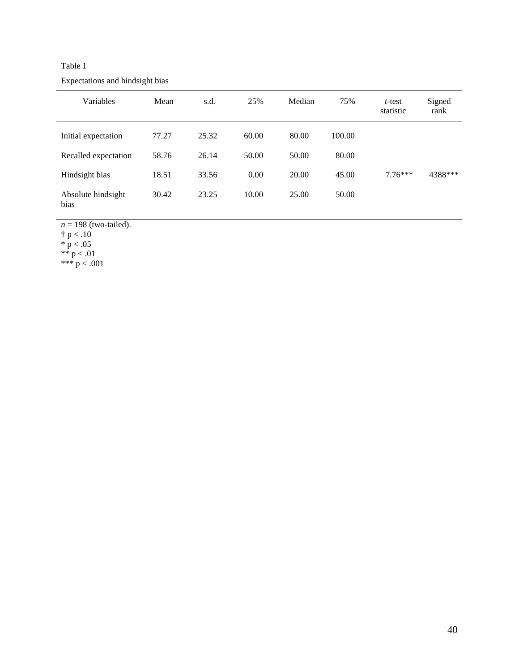Table 1 Expectations and hindsight bias

| Variables                  | Mean  | s.d.  | 25%   | Median | 75%    | $t$ -test<br>statistic | Signed<br>rank |
|----------------------------|-------|-------|-------|--------|--------|------------------------|----------------|
| Initial expectation        | 77.27 | 25.32 | 60.00 | 80.00  | 100.00 |                        |                |
| Recalled expectation       | 58.76 | 26.14 | 50.00 | 50.00  | 80.00  |                        |                |
| Hindsight bias             | 18.51 | 33.56 | 0.00  | 20.00  | 45.00  | $7.76***$              | 4388***        |
| Absolute hindsight<br>bias | 30.42 | 23.25 | 10.00 | 25.00  | 50.00  |                        |                |

 $n = 198$  (two-tailed).

 $\dagger$  p < .10

 $*$  p  $< .05$ 

\*\*  $p < .01$ 

\*\*\* p < .001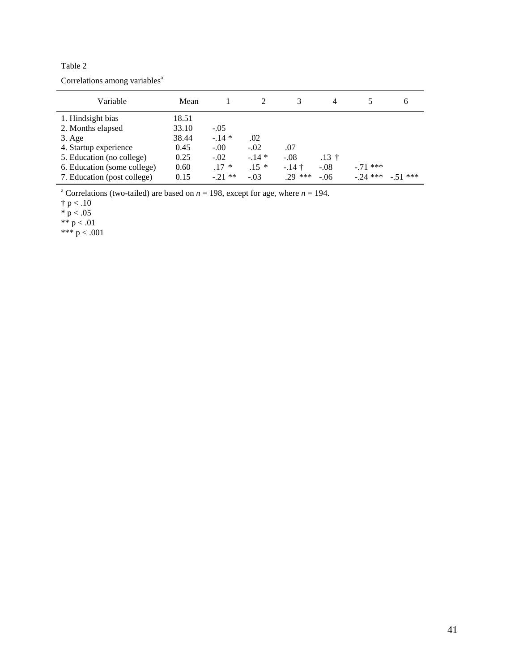| anie |
|------|
|------|

| Variable                    | Mean  |          |        | 3         | 4       |            | b         |
|-----------------------------|-------|----------|--------|-----------|---------|------------|-----------|
| 1. Hindsight bias           | 18.51 |          |        |           |         |            |           |
| 2. Months elapsed           | 33.10 | $-.05$   |        |           |         |            |           |
| $3. \text{Age}$             | 38.44 | $-.14*$  | .02    |           |         |            |           |
| 4. Startup experience       | 0.45  | $-.00$   | $-.02$ | .07       |         |            |           |
| 5. Education (no college)   | 0.25  | $-.02$   | $-14*$ | $-.08$    | $.13 +$ |            |           |
| 6. Education (some college) | 0.60  | $.17*$   | $.15*$ | $-14+$    | $-.08$  | $-.71$ *** |           |
| 7. Education (post college) | 0.15  | $-21$ ** | $-.03$ | $.29$ *** | $-.06$  | $-24$ ***  | $-51$ *** |

<sup>a</sup> Correlations (two-tailed) are based on  $n = 198$ , except for age, where  $n = 194$ .

 $\dagger$  p < .10

 $*$  p  $< .05$ 

$$
\ast\overline{\ast}\ p<.01
$$

\*\*\* p < .001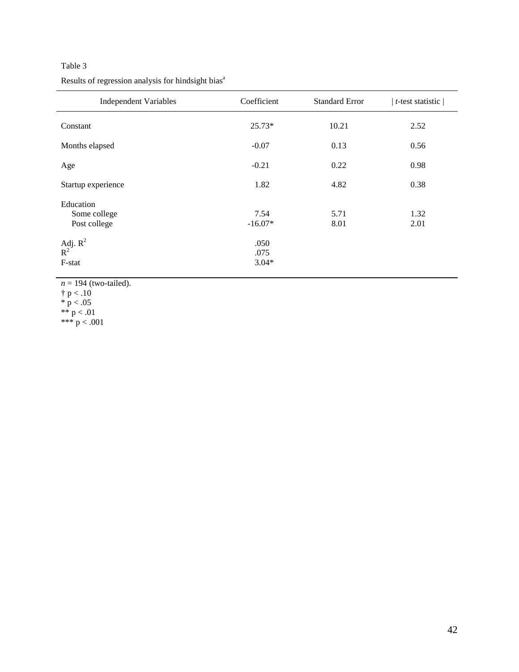## Table 3

Results of regression analysis for hindsight bias<sup>a</sup>

| <b>Independent Variables</b>                                               | Coefficient                                  | <b>Standard Error</b> | $t$ -test statistic $ $ |
|----------------------------------------------------------------------------|----------------------------------------------|-----------------------|-------------------------|
| Constant                                                                   | 25.73*                                       | 10.21                 | 2.52                    |
| Months elapsed                                                             | $-0.07$                                      | 0.13                  | 0.56                    |
| Age                                                                        | $-0.21$                                      | 0.22                  | 0.98                    |
| Startup experience                                                         | 1.82                                         | 4.82                  | 0.38                    |
| Education<br>Some college<br>Post college<br>Adj. $R^2$<br>$R^2$<br>F-stat | 7.54<br>$-16.07*$<br>.050<br>.075<br>$3.04*$ | 5.71<br>8.01          | 1.32<br>2.01            |

 $n = 194$  (two-tailed).  $\dagger$  p < .10  $*$  p  $< .05$ \*\*  $p < .01$ \*\*\* p < .001